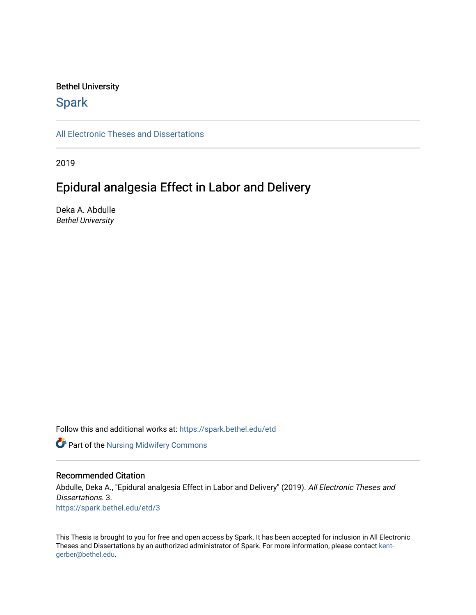#### Bethel University

# **Spark**

[All Electronic Theses and Dissertations](https://spark.bethel.edu/etd) 

2019

# Epidural analgesia Effect in Labor and Delivery

Deka A. Abdulle Bethel University

Follow this and additional works at: [https://spark.bethel.edu/etd](https://spark.bethel.edu/etd?utm_source=spark.bethel.edu%2Fetd%2F3&utm_medium=PDF&utm_campaign=PDFCoverPages)

Part of the [Nursing Midwifery Commons](http://network.bepress.com/hgg/discipline/722?utm_source=spark.bethel.edu%2Fetd%2F3&utm_medium=PDF&utm_campaign=PDFCoverPages) 

#### Recommended Citation

Abdulle, Deka A., "Epidural analgesia Effect in Labor and Delivery" (2019). All Electronic Theses and Dissertations. 3. [https://spark.bethel.edu/etd/3](https://spark.bethel.edu/etd/3?utm_source=spark.bethel.edu%2Fetd%2F3&utm_medium=PDF&utm_campaign=PDFCoverPages)

This Thesis is brought to you for free and open access by Spark. It has been accepted for inclusion in All Electronic Theses and Dissertations by an authorized administrator of Spark. For more information, please contact [kent](mailto:kent-gerber@bethel.edu)[gerber@bethel.edu.](mailto:kent-gerber@bethel.edu)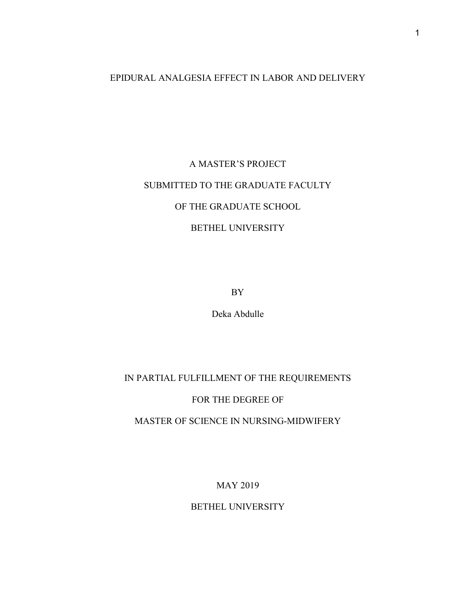# EPIDURAL ANALGESIA EFFECT IN LABOR AND DELIVERY

# A MASTER'S PROJECT SUBMITTED TO THE GRADUATE FACULTY OF THE GRADUATE SCHOOL BETHEL UNIVERSITY

BY

Deka Abdulle

IN PARTIAL FULFILLMENT OF THE REQUIREMENTS

FOR THE DEGREE OF

MASTER OF SCIENCE IN NURSING-MIDWIFERY

MAY 2019

BETHEL UNIVERSITY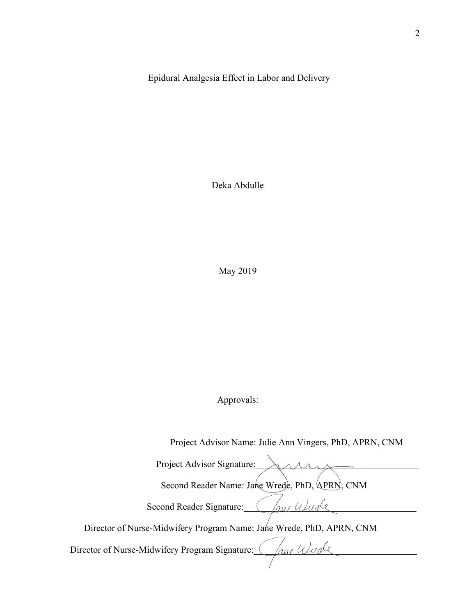Epidural Analgesia Effect in Labor and Delivery

Deka Abdulle

May 2019

Approvals:

 Project Advisor Name: Julie Ann Vingers, PhD, APRN, CNM Project Advisor Signature: AMM Second Reader Name: Jane Wrede, PhD, APRN, CNM Second Reader Signature: Charl Wurde Director of Nurse-Midwifery Program Name: Jane Wrede, PhD, APRN, CNM Director of Nurse-Midwifery Program Signature: *\_\_\_\_\_\_\_\_\_\_\_\_\_\_\_\_\_\_\_\_\_\_\_\_\_\_\_\_\_\_\_\_\_*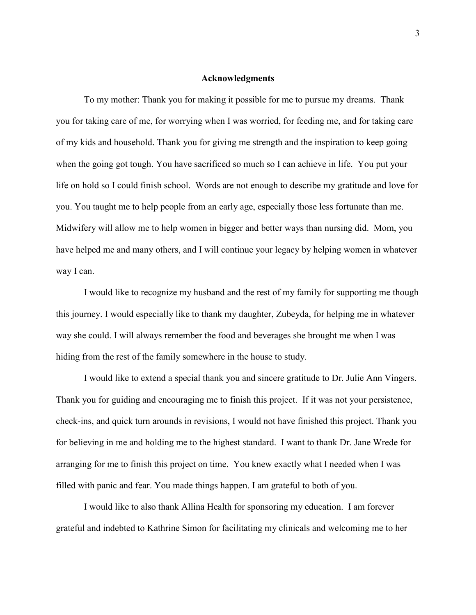#### **Acknowledgments**

To my mother: Thank you for making it possible for me to pursue my dreams. Thank you for taking care of me, for worrying when I was worried, for feeding me, and for taking care of my kids and household. Thank you for giving me strength and the inspiration to keep going when the going got tough. You have sacrificed so much so I can achieve in life. You put your life on hold so I could finish school. Words are not enough to describe my gratitude and love for you. You taught me to help people from an early age, especially those less fortunate than me. Midwifery will allow me to help women in bigger and better ways than nursing did. Mom, you have helped me and many others, and I will continue your legacy by helping women in whatever way I can.

I would like to recognize my husband and the rest of my family for supporting me though this journey. I would especially like to thank my daughter, Zubeyda, for helping me in whatever way she could. I will always remember the food and beverages she brought me when I was hiding from the rest of the family somewhere in the house to study.

I would like to extend a special thank you and sincere gratitude to Dr. Julie Ann Vingers. Thank you for guiding and encouraging me to finish this project. If it was not your persistence, check-ins, and quick turn arounds in revisions, I would not have finished this project. Thank you for believing in me and holding me to the highest standard. I want to thank Dr. Jane Wrede for arranging for me to finish this project on time. You knew exactly what I needed when I was filled with panic and fear. You made things happen. I am grateful to both of you.

I would like to also thank Allina Health for sponsoring my education. I am forever grateful and indebted to Kathrine Simon for facilitating my clinicals and welcoming me to her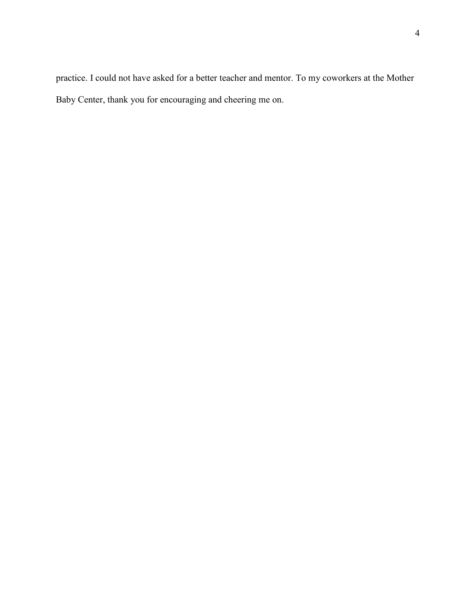practice. I could not have asked for a better teacher and mentor. To my coworkers at the Mother Baby Center, thank you for encouraging and cheering me on.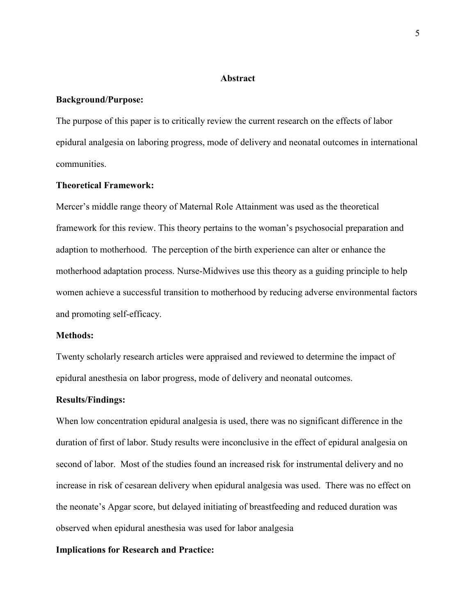#### **Abstract**

#### **Background/Purpose:**

The purpose of this paper is to critically review the current research on the effects of labor epidural analgesia on laboring progress, mode of delivery and neonatal outcomes in international communities.

### **Theoretical Framework:**

Mercer's middle range theory of Maternal Role Attainment was used as the theoretical framework for this review. This theory pertains to the woman's psychosocial preparation and adaption to motherhood. The perception of the birth experience can alter or enhance the motherhood adaptation process. Nurse-Midwives use this theory as a guiding principle to help women achieve a successful transition to motherhood by reducing adverse environmental factors and promoting self-efficacy.

#### **Methods:**

Twenty scholarly research articles were appraised and reviewed to determine the impact of epidural anesthesia on labor progress, mode of delivery and neonatal outcomes.

#### **Results/Findings:**

When low concentration epidural analgesia is used, there was no significant difference in the duration of first of labor. Study results were inconclusive in the effect of epidural analgesia on second of labor. Most of the studies found an increased risk for instrumental delivery and no increase in risk of cesarean delivery when epidural analgesia was used. There was no effect on the neonate's Apgar score, but delayed initiating of breastfeeding and reduced duration was observed when epidural anesthesia was used for labor analgesia

#### **Implications for Research and Practice:**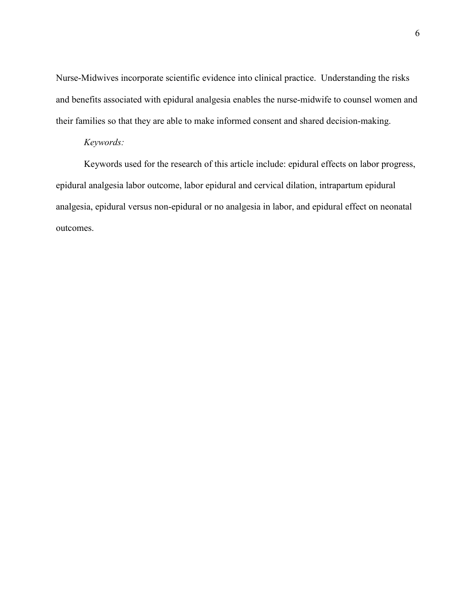Nurse-Midwives incorporate scientific evidence into clinical practice. Understanding the risks and benefits associated with epidural analgesia enables the nurse-midwife to counsel women and their families so that they are able to make informed consent and shared decision-making.

#### *Keywords:*

Keywords used for the research of this article include: epidural effects on labor progress, epidural analgesia labor outcome, labor epidural and cervical dilation, intrapartum epidural analgesia, epidural versus non-epidural or no analgesia in labor, and epidural effect on neonatal outcomes.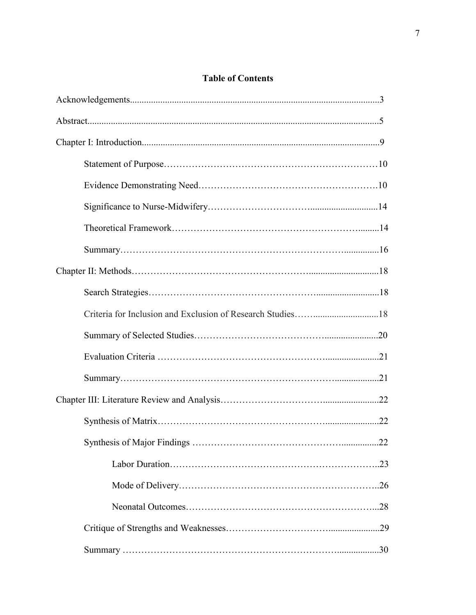# **Table of Contents**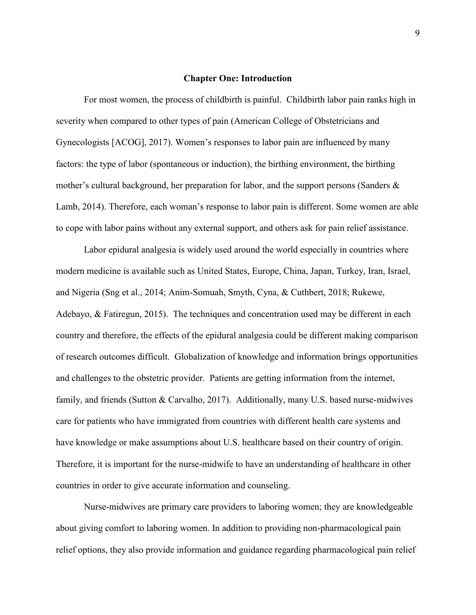#### **Chapter One: Introduction**

For most women, the process of childbirth is painful. Childbirth labor pain ranks high in severity when compared to other types of pain (American College of Obstetricians and Gynecologists [ACOG], 2017). Women's responses to labor pain are influenced by many factors: the type of labor (spontaneous or induction), the birthing environment, the birthing mother's cultural background, her preparation for labor, and the support persons (Sanders & Lamb, 2014). Therefore, each woman's response to labor pain is different. Some women are able to cope with labor pains without any external support, and others ask for pain relief assistance.

Labor epidural analgesia is widely used around the world especially in countries where modern medicine is available such as United States, Europe, China, Japan, Turkey, Iran, Israel, and Nigeria (Sng et al., 2014; Anim-Somuah, Smyth, Cyna, & Cuthbert, 2018; Rukewe, Adebayo, & Fatiregun, 2015). The techniques and concentration used may be different in each country and therefore, the effects of the epidural analgesia could be different making comparison of research outcomes difficult. Globalization of knowledge and information brings opportunities and challenges to the obstetric provider. Patients are getting information from the internet, family, and friends (Sutton & Carvalho, 2017). Additionally, many U.S. based nurse-midwives care for patients who have immigrated from countries with different health care systems and have knowledge or make assumptions about U.S. healthcare based on their country of origin. Therefore, it is important for the nurse-midwife to have an understanding of healthcare in other countries in order to give accurate information and counseling.

Nurse-midwives are primary care providers to laboring women; they are knowledgeable about giving comfort to laboring women. In addition to providing non-pharmacological pain relief options, they also provide information and guidance regarding pharmacological pain relief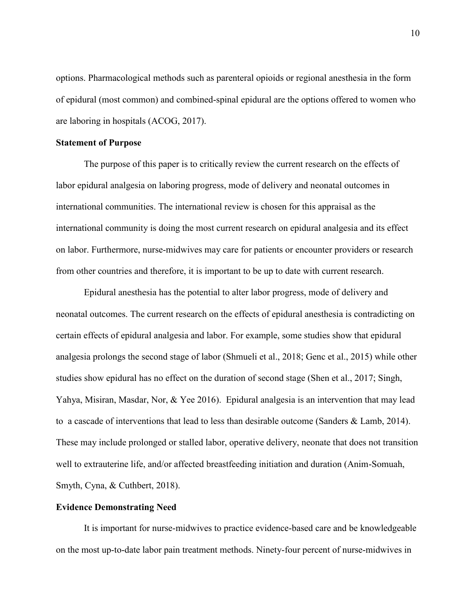options. Pharmacological methods such as parenteral opioids or regional anesthesia in the form of epidural (most common) and combined-spinal epidural are the options offered to women who are laboring in hospitals (ACOG, 2017).

#### **Statement of Purpose**

The purpose of this paper is to critically review the current research on the effects of labor epidural analgesia on laboring progress, mode of delivery and neonatal outcomes in international communities. The international review is chosen for this appraisal as the international community is doing the most current research on epidural analgesia and its effect on labor. Furthermore, nurse-midwives may care for patients or encounter providers or research from other countries and therefore, it is important to be up to date with current research.

Epidural anesthesia has the potential to alter labor progress, mode of delivery and neonatal outcomes. The current research on the effects of epidural anesthesia is contradicting on certain effects of epidural analgesia and labor. For example, some studies show that epidural analgesia prolongs the second stage of labor (Shmueli et al., 2018; Genc et al., 2015) while other studies show epidural has no effect on the duration of second stage (Shen et al., 2017; Singh, Yahya, Misiran, Masdar, Nor, & Yee 2016). Epidural analgesia is an intervention that may lead to a cascade of interventions that lead to less than desirable outcome (Sanders & Lamb, 2014). These may include prolonged or stalled labor, operative delivery, neonate that does not transition well to extrauterine life, and/or affected breastfeeding initiation and duration (Anim-Somuah, Smyth, Cyna, & Cuthbert, 2018).

#### **Evidence Demonstrating Need**

It is important for nurse-midwives to practice evidence-based care and be knowledgeable on the most up-to-date labor pain treatment methods. Ninety-four percent of nurse-midwives in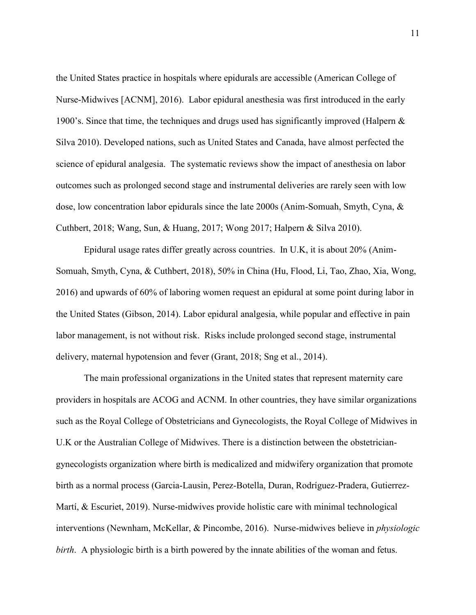the United States practice in hospitals where epidurals are accessible (American College of Nurse-Midwives [ACNM], 2016). Labor epidural anesthesia was first introduced in the early 1900's. Since that time, the techniques and drugs used has significantly improved (Halpern  $\&$ Silva 2010). Developed nations, such as United States and Canada, have almost perfected the science of epidural analgesia. The systematic reviews show the impact of anesthesia on labor outcomes such as prolonged second stage and instrumental deliveries are rarely seen with low dose, low concentration labor epidurals since the late 2000s (Anim-Somuah, Smyth, Cyna, & Cuthbert, 2018; Wang, Sun, & Huang, 2017; Wong 2017; Halpern & Silva 2010).

Epidural usage rates differ greatly across countries. In U.K, it is about 20% (Anim-Somuah, Smyth, Cyna, & Cuthbert, 2018), 50% in China (Hu, Flood, Li, Tao, Zhao, Xia, Wong, 2016) and upwards of 60% of laboring women request an epidural at some point during labor in the United States (Gibson, 2014). Labor epidural analgesia, while popular and effective in pain labor management, is not without risk. Risks include prolonged second stage, instrumental delivery, maternal hypotension and fever (Grant, 2018; Sng et al., 2014).

The main professional organizations in the United states that represent maternity care providers in hospitals are ACOG and ACNM. In other countries, they have similar organizations such as the Royal College of Obstetricians and Gynecologists, the Royal College of Midwives in U.K or the Australian College of Midwives. There is a distinction between the obstetriciangynecologists organization where birth is medicalized and midwifery organization that promote birth as a normal process (Garcia-Lausin, Perez-Botella, Duran, Rodríguez-Pradera, Gutierrez-Martí, & Escuriet, 2019). Nurse-midwives provide holistic care with minimal technological interventions (Newnham, McKellar, & Pincombe, 2016). Nurse-midwives believe in *physiologic birth*. A physiologic birth is a birth powered by the innate abilities of the woman and fetus.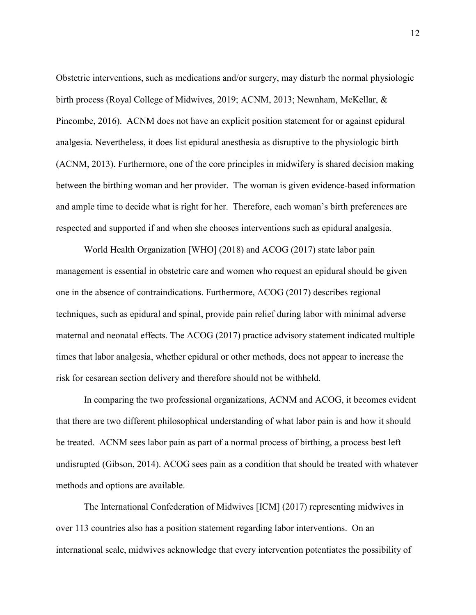Obstetric interventions, such as medications and/or surgery, may disturb the normal physiologic birth process (Royal College of Midwives, 2019; ACNM, 2013; Newnham, McKellar, & Pincombe, 2016). ACNM does not have an explicit position statement for or against epidural analgesia. Nevertheless, it does list epidural anesthesia as disruptive to the physiologic birth (ACNM, 2013). Furthermore, one of the core principles in midwifery is shared decision making between the birthing woman and her provider. The woman is given evidence-based information and ample time to decide what is right for her. Therefore, each woman's birth preferences are respected and supported if and when she chooses interventions such as epidural analgesia.

World Health Organization [WHO] (2018) and ACOG (2017) state labor pain management is essential in obstetric care and women who request an epidural should be given one in the absence of contraindications. Furthermore, ACOG (2017) describes regional techniques, such as epidural and spinal, provide pain relief during labor with minimal adverse maternal and neonatal effects. The ACOG (2017) practice advisory statement indicated multiple times that labor analgesia, whether epidural or other methods, does not appear to increase the risk for cesarean section delivery and therefore should not be withheld.

In comparing the two professional organizations, ACNM and ACOG, it becomes evident that there are two different philosophical understanding of what labor pain is and how it should be treated. ACNM sees labor pain as part of a normal process of birthing, a process best left undisrupted (Gibson, 2014). ACOG sees pain as a condition that should be treated with whatever methods and options are available.

The International Confederation of Midwives [ICM] (2017) representing midwives in over 113 countries also has a position statement regarding labor interventions. On an international scale, midwives acknowledge that every intervention potentiates the possibility of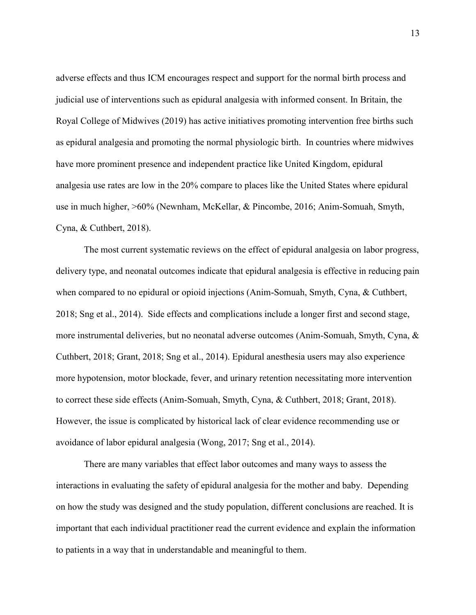adverse effects and thus ICM encourages respect and support for the normal birth process and judicial use of interventions such as epidural analgesia with informed consent. In Britain, the Royal College of Midwives (2019) has active initiatives promoting intervention free births such as epidural analgesia and promoting the normal physiologic birth. In countries where midwives have more prominent presence and independent practice like United Kingdom, epidural analgesia use rates are low in the 20% compare to places like the United States where epidural use in much higher, >60% (Newnham, McKellar, & Pincombe, 2016; Anim-Somuah, Smyth, Cyna, & Cuthbert, 2018).

 The most current systematic reviews on the effect of epidural analgesia on labor progress, delivery type, and neonatal outcomes indicate that epidural analgesia is effective in reducing pain when compared to no epidural or opioid injections (Anim-Somuah, Smyth, Cyna, & Cuthbert, 2018; Sng et al., 2014). Side effects and complications include a longer first and second stage, more instrumental deliveries, but no neonatal adverse outcomes (Anim-Somuah, Smyth, Cyna, & Cuthbert, 2018; Grant, 2018; Sng et al., 2014). Epidural anesthesia users may also experience more hypotension, motor blockade, fever, and urinary retention necessitating more intervention to correct these side effects (Anim-Somuah, Smyth, Cyna, & Cuthbert, 2018; Grant, 2018). However, the issue is complicated by historical lack of clear evidence recommending use or avoidance of labor epidural analgesia (Wong, 2017; Sng et al., 2014).

There are many variables that effect labor outcomes and many ways to assess the interactions in evaluating the safety of epidural analgesia for the mother and baby. Depending on how the study was designed and the study population, different conclusions are reached. It is important that each individual practitioner read the current evidence and explain the information to patients in a way that in understandable and meaningful to them.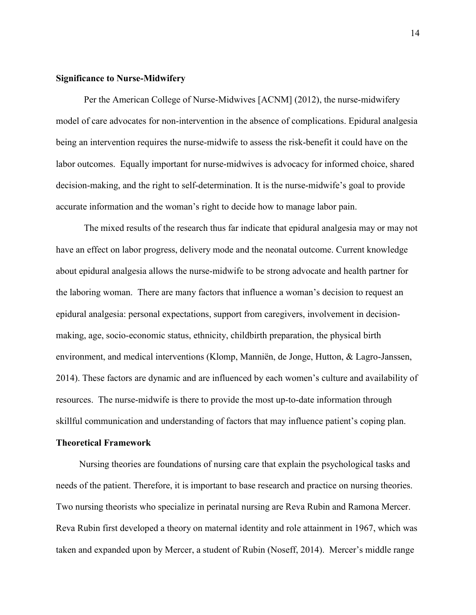#### **Significance to Nurse-Midwifery**

Per the American College of Nurse-Midwives [ACNM] (2012), the nurse-midwifery model of care advocates for non-intervention in the absence of complications. Epidural analgesia being an intervention requires the nurse-midwife to assess the risk-benefit it could have on the labor outcomes. Equally important for nurse-midwives is advocacy for informed choice, shared decision-making, and the right to self-determination. It is the nurse-midwife's goal to provide accurate information and the woman's right to decide how to manage labor pain.

The mixed results of the research thus far indicate that epidural analgesia may or may not have an effect on labor progress, delivery mode and the neonatal outcome. Current knowledge about epidural analgesia allows the nurse-midwife to be strong advocate and health partner for the laboring woman. There are many factors that influence a woman's decision to request an epidural analgesia: personal expectations, support from caregivers, involvement in decisionmaking, age, socio-economic status, ethnicity, childbirth preparation, the physical birth environment, and medical interventions (Klomp, Manniën, de Jonge, Hutton, & Lagro-Janssen, 2014). These factors are dynamic and are influenced by each women's culture and availability of resources. The nurse-midwife is there to provide the most up-to-date information through skillful communication and understanding of factors that may influence patient's coping plan.

#### **Theoretical Framework**

 Nursing theories are foundations of nursing care that explain the psychological tasks and needs of the patient. Therefore, it is important to base research and practice on nursing theories. Two nursing theorists who specialize in perinatal nursing are Reva Rubin and Ramona Mercer. Reva Rubin first developed a theory on maternal identity and role attainment in 1967, which was taken and expanded upon by Mercer, a student of Rubin (Noseff, 2014). Mercer's middle range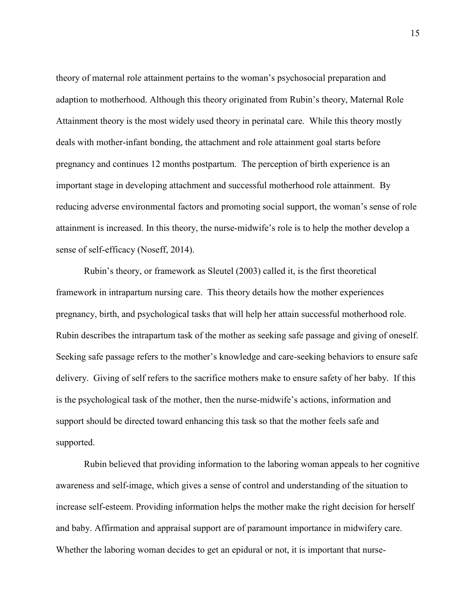theory of maternal role attainment pertains to the woman's psychosocial preparation and adaption to motherhood. Although this theory originated from Rubin's theory, Maternal Role Attainment theory is the most widely used theory in perinatal care. While this theory mostly deals with mother-infant bonding, the attachment and role attainment goal starts before pregnancy and continues 12 months postpartum. The perception of birth experience is an important stage in developing attachment and successful motherhood role attainment. By reducing adverse environmental factors and promoting social support, the woman's sense of role attainment is increased. In this theory, the nurse-midwife's role is to help the mother develop a sense of self-efficacy (Noseff, 2014).

Rubin's theory, or framework as Sleutel (2003) called it, is the first theoretical framework in intrapartum nursing care. This theory details how the mother experiences pregnancy, birth, and psychological tasks that will help her attain successful motherhood role. Rubin describes the intrapartum task of the mother as seeking safe passage and giving of oneself. Seeking safe passage refers to the mother's knowledge and care-seeking behaviors to ensure safe delivery. Giving of self refers to the sacrifice mothers make to ensure safety of her baby. If this is the psychological task of the mother, then the nurse-midwife's actions, information and support should be directed toward enhancing this task so that the mother feels safe and supported.

Rubin believed that providing information to the laboring woman appeals to her cognitive awareness and self-image, which gives a sense of control and understanding of the situation to increase self-esteem. Providing information helps the mother make the right decision for herself and baby. Affirmation and appraisal support are of paramount importance in midwifery care. Whether the laboring woman decides to get an epidural or not, it is important that nurse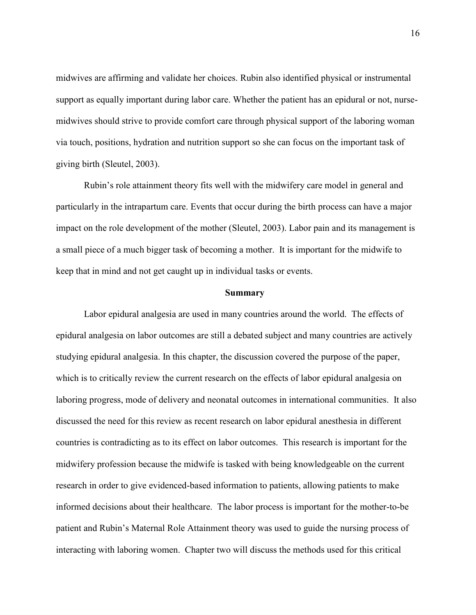midwives are affirming and validate her choices. Rubin also identified physical or instrumental support as equally important during labor care. Whether the patient has an epidural or not, nursemidwives should strive to provide comfort care through physical support of the laboring woman via touch, positions, hydration and nutrition support so she can focus on the important task of giving birth (Sleutel, 2003).

Rubin's role attainment theory fits well with the midwifery care model in general and particularly in the intrapartum care. Events that occur during the birth process can have a major impact on the role development of the mother (Sleutel, 2003). Labor pain and its management is a small piece of a much bigger task of becoming a mother. It is important for the midwife to keep that in mind and not get caught up in individual tasks or events.

#### **Summary**

Labor epidural analgesia are used in many countries around the world. The effects of epidural analgesia on labor outcomes are still a debated subject and many countries are actively studying epidural analgesia. In this chapter, the discussion covered the purpose of the paper, which is to critically review the current research on the effects of labor epidural analgesia on laboring progress, mode of delivery and neonatal outcomes in international communities. It also discussed the need for this review as recent research on labor epidural anesthesia in different countries is contradicting as to its effect on labor outcomes. This research is important for the midwifery profession because the midwife is tasked with being knowledgeable on the current research in order to give evidenced-based information to patients, allowing patients to make informed decisions about their healthcare. The labor process is important for the mother-to-be patient and Rubin's Maternal Role Attainment theory was used to guide the nursing process of interacting with laboring women. Chapter two will discuss the methods used for this critical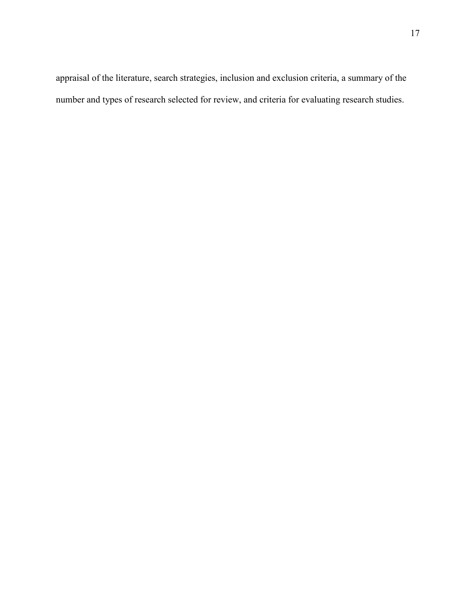appraisal of the literature, search strategies, inclusion and exclusion criteria, a summary of the number and types of research selected for review, and criteria for evaluating research studies.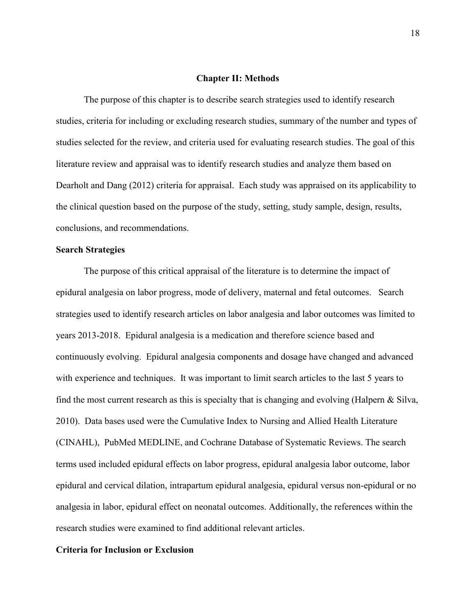#### **Chapter II: Methods**

The purpose of this chapter is to describe search strategies used to identify research studies, criteria for including or excluding research studies, summary of the number and types of studies selected for the review, and criteria used for evaluating research studies. The goal of this literature review and appraisal was to identify research studies and analyze them based on Dearholt and Dang (2012) criteria for appraisal. Each study was appraised on its applicability to the clinical question based on the purpose of the study, setting, study sample, design, results, conclusions, and recommendations.

#### **Search Strategies**

The purpose of this critical appraisal of the literature is to determine the impact of epidural analgesia on labor progress, mode of delivery, maternal and fetal outcomes. Search strategies used to identify research articles on labor analgesia and labor outcomes was limited to years 2013-2018. Epidural analgesia is a medication and therefore science based and continuously evolving. Epidural analgesia components and dosage have changed and advanced with experience and techniques. It was important to limit search articles to the last 5 years to find the most current research as this is specialty that is changing and evolving (Halpern & Silva, 2010). Data bases used were the Cumulative Index to Nursing and Allied Health Literature (CINAHL), PubMed MEDLINE, and Cochrane Database of Systematic Reviews. The search terms used included epidural effects on labor progress, epidural analgesia labor outcome, labor epidural and cervical dilation, intrapartum epidural analgesia, epidural versus non-epidural or no analgesia in labor, epidural effect on neonatal outcomes. Additionally, the references within the research studies were examined to find additional relevant articles.

#### **Criteria for Inclusion or Exclusion**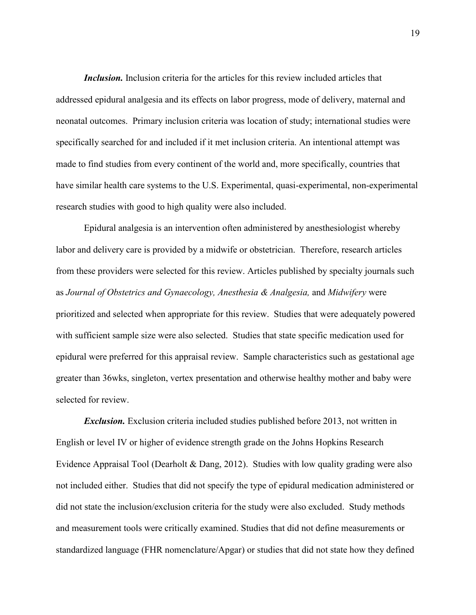*Inclusion.* Inclusion criteria for the articles for this review included articles that addressed epidural analgesia and its effects on labor progress, mode of delivery, maternal and neonatal outcomes. Primary inclusion criteria was location of study; international studies were specifically searched for and included if it met inclusion criteria. An intentional attempt was made to find studies from every continent of the world and, more specifically, countries that have similar health care systems to the U.S. Experimental, quasi-experimental, non-experimental research studies with good to high quality were also included.

Epidural analgesia is an intervention often administered by anesthesiologist whereby labor and delivery care is provided by a midwife or obstetrician. Therefore, research articles from these providers were selected for this review. Articles published by specialty journals such as *Journal of Obstetrics and Gynaecology, Anesthesia & Analgesia,* and *Midwifery* were prioritized and selected when appropriate for this review. Studies that were adequately powered with sufficient sample size were also selected. Studies that state specific medication used for epidural were preferred for this appraisal review. Sample characteristics such as gestational age greater than 36wks, singleton, vertex presentation and otherwise healthy mother and baby were selected for review.

*Exclusion.* Exclusion criteria included studies published before 2013, not written in English or level IV or higher of evidence strength grade on the Johns Hopkins Research Evidence Appraisal Tool (Dearholt & Dang, 2012). Studies with low quality grading were also not included either. Studies that did not specify the type of epidural medication administered or did not state the inclusion/exclusion criteria for the study were also excluded. Study methods and measurement tools were critically examined. Studies that did not define measurements or standardized language (FHR nomenclature/Apgar) or studies that did not state how they defined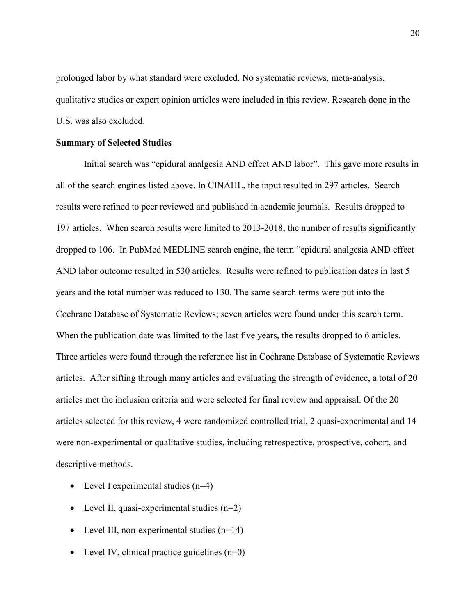prolonged labor by what standard were excluded. No systematic reviews, meta-analysis, qualitative studies or expert opinion articles were included in this review. Research done in the U.S. was also excluded.

#### **Summary of Selected Studies**

Initial search was "epidural analgesia AND effect AND labor". This gave more results in all of the search engines listed above. In CINAHL, the input resulted in 297 articles. Search results were refined to peer reviewed and published in academic journals. Results dropped to 197 articles. When search results were limited to 2013-2018, the number of results significantly dropped to 106. In PubMed MEDLINE search engine, the term "epidural analgesia AND effect AND labor outcome resulted in 530 articles. Results were refined to publication dates in last 5 years and the total number was reduced to 130. The same search terms were put into the Cochrane Database of Systematic Reviews; seven articles were found under this search term. When the publication date was limited to the last five years, the results dropped to 6 articles. Three articles were found through the reference list in Cochrane Database of Systematic Reviews articles. After sifting through many articles and evaluating the strength of evidence, a total of 20 articles met the inclusion criteria and were selected for final review and appraisal. Of the 20 articles selected for this review, 4 were randomized controlled trial, 2 quasi-experimental and 14 were non-experimental or qualitative studies, including retrospective, prospective, cohort, and descriptive methods.

- Level I experimental studies  $(n=4)$
- Level II, quasi-experimental studies  $(n=2)$
- Level III, non-experimental studies  $(n=14)$
- Level IV, clinical practice guidelines  $(n=0)$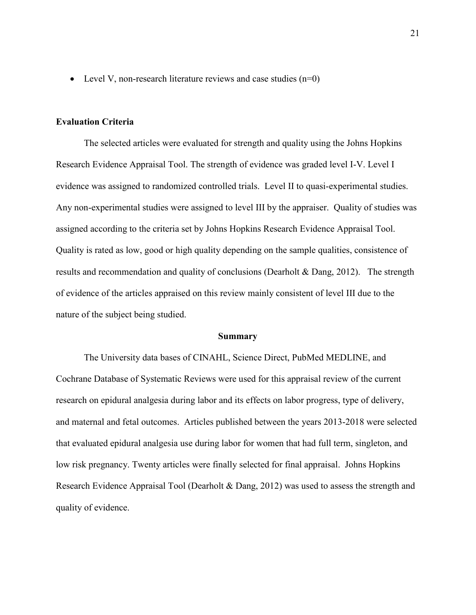• Level V, non-research literature reviews and case studies  $(n=0)$ 

#### **Evaluation Criteria**

The selected articles were evaluated for strength and quality using the Johns Hopkins Research Evidence Appraisal Tool. The strength of evidence was graded level I-V. Level I evidence was assigned to randomized controlled trials. Level II to quasi-experimental studies. Any non-experimental studies were assigned to level III by the appraiser. Quality of studies was assigned according to the criteria set by Johns Hopkins Research Evidence Appraisal Tool. Quality is rated as low, good or high quality depending on the sample qualities, consistence of results and recommendation and quality of conclusions (Dearholt & Dang, 2012). The strength of evidence of the articles appraised on this review mainly consistent of level III due to the nature of the subject being studied.

#### **Summary**

The University data bases of CINAHL, Science Direct, PubMed MEDLINE, and Cochrane Database of Systematic Reviews were used for this appraisal review of the current research on epidural analgesia during labor and its effects on labor progress, type of delivery, and maternal and fetal outcomes. Articles published between the years 2013-2018 were selected that evaluated epidural analgesia use during labor for women that had full term, singleton, and low risk pregnancy. Twenty articles were finally selected for final appraisal. Johns Hopkins Research Evidence Appraisal Tool (Dearholt & Dang, 2012) was used to assess the strength and quality of evidence.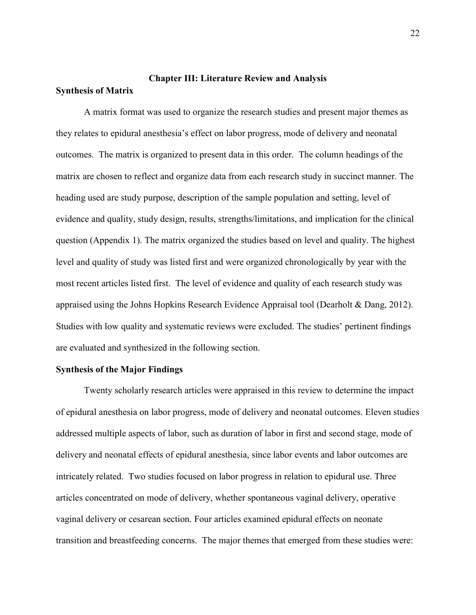# **Chapter III: Literature Review and Analysis Synthesis of Matrix**

A matrix format was used to organize the research studies and present major themes as they relates to epidural anesthesia's effect on labor progress, mode of delivery and neonatal outcomes. The matrix is organized to present data in this order. The column headings of the matrix are chosen to reflect and organize data from each research study in succinct manner. The heading used are study purpose, description of the sample population and setting, level of evidence and quality, study design, results, strengths/limitations, and implication for the clinical question (Appendix 1). The matrix organized the studies based on level and quality. The highest level and quality of study was listed first and were organized chronologically by year with the most recent articles listed first. The level of evidence and quality of each research study was appraised using the Johns Hopkins Research Evidence Appraisal tool (Dearholt & Dang, 2012). Studies with low quality and systematic reviews were excluded. The studies' pertinent findings are evaluated and synthesized in the following section.

#### **Synthesis of the Major Findings**

Twenty scholarly research articles were appraised in this review to determine the impact of epidural anesthesia on labor progress, mode of delivery and neonatal outcomes. Eleven studies addressed multiple aspects of labor, such as duration of labor in first and second stage, mode of delivery and neonatal effects of epidural anesthesia, since labor events and labor outcomes are intricately related. Two studies focused on labor progress in relation to epidural use. Three articles concentrated on mode of delivery, whether spontaneous vaginal delivery, operative vaginal delivery or cesarean section. Four articles examined epidural effects on neonate transition and breastfeeding concerns. The major themes that emerged from these studies were: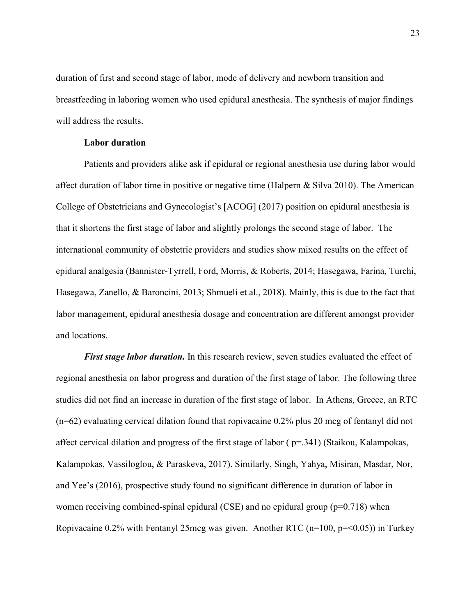duration of first and second stage of labor, mode of delivery and newborn transition and breastfeeding in laboring women who used epidural anesthesia. The synthesis of major findings will address the results.

#### **Labor duration**

Patients and providers alike ask if epidural or regional anesthesia use during labor would affect duration of labor time in positive or negative time (Halpern & Silva 2010). The American College of Obstetricians and Gynecologist's [ACOG] (2017) position on epidural anesthesia is that it shortens the first stage of labor and slightly prolongs the second stage of labor. The international community of obstetric providers and studies show mixed results on the effect of epidural analgesia (Bannister-Tyrrell, Ford, Morris, & Roberts, 2014; Hasegawa, Farina, Turchi, Hasegawa, Zanello, & Baroncini, 2013; Shmueli et al., 2018). Mainly, this is due to the fact that labor management, epidural anesthesia dosage and concentration are different amongst provider and locations.

*First stage labor duration.* In this research review, seven studies evaluated the effect of regional anesthesia on labor progress and duration of the first stage of labor. The following three studies did not find an increase in duration of the first stage of labor. In Athens, Greece, an RTC (n=62) evaluating cervical dilation found that ropivacaine 0.2% plus 20 mcg of fentanyl did not affect cervical dilation and progress of the first stage of labor ( p=.341) (Staikou, Kalampokas, Kalampokas, Vassiloglou, & Paraskeva, 2017). Similarly, Singh, Yahya, Misiran, Masdar, Nor, and Yee's (2016), prospective study found no significant difference in duration of labor in women receiving combined-spinal epidural (CSE) and no epidural group ( $p=0.718$ ) when Ropivacaine  $0.2\%$  with Fentanyl 25mcg was given. Another RTC (n=100, p=<0.05)) in Turkey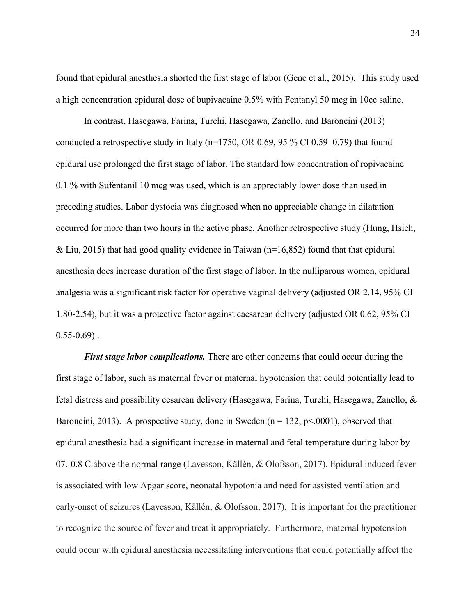found that epidural anesthesia shorted the first stage of labor (Genc et al., 2015). This study used a high concentration epidural dose of bupivacaine 0.5% with Fentanyl 50 mcg in 10cc saline.

In contrast, Hasegawa, Farina, Turchi, Hasegawa, Zanello, and Baroncini (2013) conducted a retrospective study in Italy (n=1750, OR 0.69, 95 % CI 0.59–0.79) that found epidural use prolonged the first stage of labor. The standard low concentration of ropivacaine 0.1 % with Sufentanil 10 mcg was used, which is an appreciably lower dose than used in preceding studies. Labor dystocia was diagnosed when no appreciable change in dilatation occurred for more than two hours in the active phase. Another retrospective study (Hung, Hsieh, & Liu, 2015) that had good quality evidence in Taiwan ( $n=16,852$ ) found that that epidural anesthesia does increase duration of the first stage of labor. In the nulliparous women, epidural analgesia was a significant risk factor for operative vaginal delivery (adjusted OR 2.14, 95% CI 1.80-2.54), but it was a protective factor against caesarean delivery (adjusted OR 0.62, 95% CI  $0.55 - 0.69$ .

*First stage labor complications.* There are other concerns that could occur during the first stage of labor, such as maternal fever or maternal hypotension that could potentially lead to fetal distress and possibility cesarean delivery (Hasegawa, Farina, Turchi, Hasegawa, Zanello, & Baroncini, 2013). A prospective study, done in Sweden ( $n = 132$ ,  $p \le 0.0001$ ), observed that epidural anesthesia had a significant increase in maternal and fetal temperature during labor by 07.-0.8 C above the normal range (Lavesson, Källén, & Olofsson, 2017). Epidural induced fever is associated with low Apgar score, neonatal hypotonia and need for assisted ventilation and early-onset of seizures (Lavesson, Källén, & Olofsson, 2017). It is important for the practitioner to recognize the source of fever and treat it appropriately. Furthermore, maternal hypotension could occur with epidural anesthesia necessitating interventions that could potentially affect the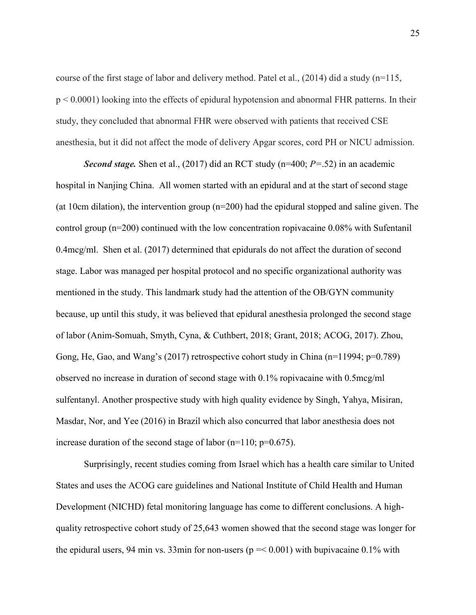course of the first stage of labor and delivery method. Patel et al.,  $(2014)$  did a study (n=115, p < 0.0001) looking into the effects of epidural hypotension and abnormal FHR patterns. In their study, they concluded that abnormal FHR were observed with patients that received CSE anesthesia, but it did not affect the mode of delivery Apgar scores, cord PH or NICU admission.

*Second stage.* Shen et al., (2017) did an RCT study (n=400; *P=*.52) in an academic hospital in Nanjing China. All women started with an epidural and at the start of second stage (at 10cm dilation), the intervention group (n=200) had the epidural stopped and saline given. The control group (n=200) continued with the low concentration ropivacaine 0.08% with Sufentanil 0.4mcg/ml. Shen et al. (2017) determined that epidurals do not affect the duration of second stage. Labor was managed per hospital protocol and no specific organizational authority was mentioned in the study. This landmark study had the attention of the OB/GYN community because, up until this study, it was believed that epidural anesthesia prolonged the second stage of labor (Anim-Somuah, Smyth, Cyna, & Cuthbert, 2018; Grant, 2018; ACOG, 2017). Zhou, Gong, He, Gao, and Wang's (2017) retrospective cohort study in China (n=11994; p=0.789) observed no increase in duration of second stage with 0.1% ropivacaine with 0.5mcg/ml sulfentanyl. Another prospective study with high quality evidence by Singh, Yahya, Misiran, Masdar, Nor, and Yee (2016) in Brazil which also concurred that labor anesthesia does not increase duration of the second stage of labor  $(n=110; p=0.675)$ .

Surprisingly, recent studies coming from Israel which has a health care similar to United States and uses the ACOG care guidelines and National Institute of Child Health and Human Development (NICHD) fetal monitoring language has come to different conclusions. A highquality retrospective cohort study of 25,643 women showed that the second stage was longer for the epidural users, 94 min vs. 33min for non-users ( $p = 0.001$ ) with bupivacaine 0.1% with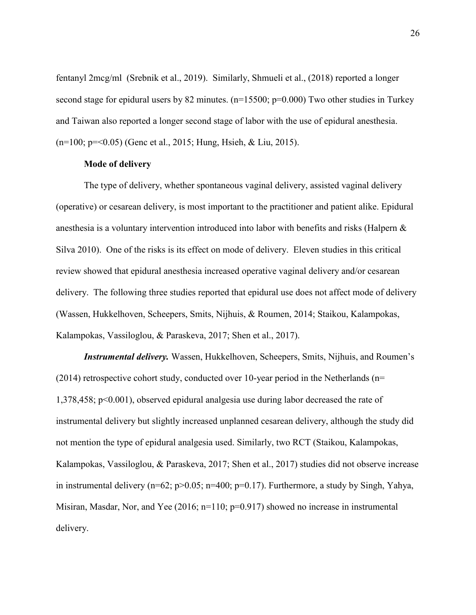fentanyl 2mcg/ml (Srebnik et al., 2019). Similarly, Shmueli et al., (2018) reported a longer second stage for epidural users by 82 minutes. (n=15500; p=0.000) Two other studies in Turkey and Taiwan also reported a longer second stage of labor with the use of epidural anesthesia. (n=100; p=<0.05) (Genc et al., 2015; Hung, Hsieh, & Liu, 2015).

#### **Mode of delivery**

The type of delivery, whether spontaneous vaginal delivery, assisted vaginal delivery (operative) or cesarean delivery, is most important to the practitioner and patient alike. Epidural anesthesia is a voluntary intervention introduced into labor with benefits and risks (Halpern & Silva 2010). One of the risks is its effect on mode of delivery. Eleven studies in this critical review showed that epidural anesthesia increased operative vaginal delivery and/or cesarean delivery. The following three studies reported that epidural use does not affect mode of delivery (Wassen, Hukkelhoven, Scheepers, Smits, Nijhuis, & Roumen, 2014; Staikou, Kalampokas, Kalampokas, Vassiloglou, & Paraskeva, 2017; Shen et al., 2017).

*Instrumental delivery.* Wassen, Hukkelhoven, Scheepers, Smits, Nijhuis, and Roumen's (2014) retrospective cohort study, conducted over 10-year period in the Netherlands ( $n=$ 1,378,458; p<0.001), observed epidural analgesia use during labor decreased the rate of instrumental delivery but slightly increased unplanned cesarean delivery, although the study did not mention the type of epidural analgesia used. Similarly, two RCT (Staikou, Kalampokas, Kalampokas, Vassiloglou, & Paraskeva, 2017; Shen et al., 2017) studies did not observe increase in instrumental delivery ( $n=62$ ;  $p>0.05$ ;  $n=400$ ;  $p=0.17$ ). Furthermore, a study by Singh, Yahya, Misiran, Masdar, Nor, and Yee (2016; n=110; p=0.917) showed no increase in instrumental delivery.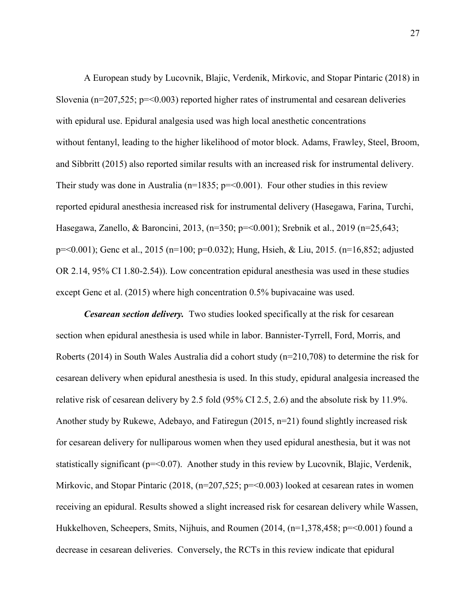A European study by Lucovnik, Blajic, Verdenik, Mirkovic, and Stopar Pintaric (2018) in Slovenia ( $n=207,525$ ;  $p=<0.003$ ) reported higher rates of instrumental and cesarean deliveries with epidural use. Epidural analgesia used was high local anesthetic concentrations without fentanyl, leading to the higher likelihood of motor block. Adams, Frawley, Steel, Broom, and Sibbritt (2015) also reported similar results with an increased risk for instrumental delivery. Their study was done in Australia ( $n=1835$ ;  $p=<0.001$ ). Four other studies in this review reported epidural anesthesia increased risk for instrumental delivery (Hasegawa, Farina, Turchi, Hasegawa, Zanello, & Baroncini, 2013, (n=350; p=<0.001); Srebnik et al., 2019 (n=25,643; p=<0.001); Genc et al., 2015 (n=100; p=0.032); Hung, Hsieh, & Liu, 2015. (n=16,852; adjusted OR 2.14, 95% CI 1.80-2.54)). Low concentration epidural anesthesia was used in these studies except Genc et al. (2015) where high concentration 0.5% bupivacaine was used.

*Cesarean section delivery.* Two studies looked specifically at the risk for cesarean section when epidural anesthesia is used while in labor. Bannister-Tyrrell, Ford, Morris, and Roberts (2014) in South Wales Australia did a cohort study ( $n=210,708$ ) to determine the risk for cesarean delivery when epidural anesthesia is used. In this study, epidural analgesia increased the relative risk of cesarean delivery by 2.5 fold (95% CI 2.5, 2.6) and the absolute risk by 11.9%. Another study by Rukewe, Adebayo, and Fatiregun (2015, n=21) found slightly increased risk for cesarean delivery for nulliparous women when they used epidural anesthesia, but it was not statistically significant ( $p = 0.07$ ). Another study in this review by Lucovnik, Blajic, Verdenik, Mirkovic, and Stopar Pintaric  $(2018, (n=207, 525; p=<0.003)$  looked at cesarean rates in women receiving an epidural. Results showed a slight increased risk for cesarean delivery while Wassen, Hukkelhoven, Scheepers, Smits, Nijhuis, and Roumen (2014, (n=1,378,458; p=<0.001) found a decrease in cesarean deliveries. Conversely, the RCTs in this review indicate that epidural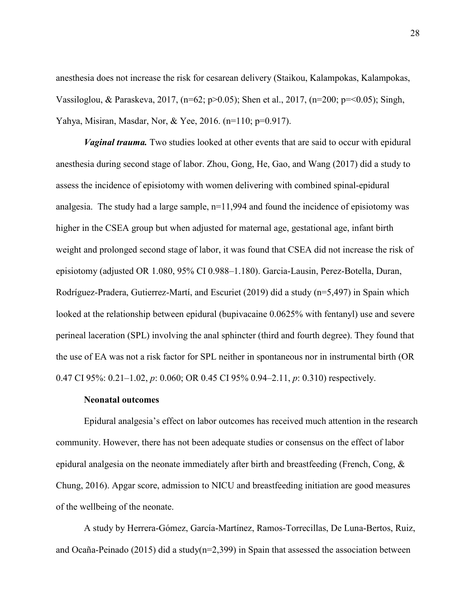anesthesia does not increase the risk for cesarean delivery (Staikou, Kalampokas, Kalampokas, Vassiloglou, & Paraskeva, 2017, (n=62; p>0.05); Shen et al., 2017, (n=200; p=<0.05); Singh, Yahya, Misiran, Masdar, Nor, & Yee, 2016. (n=110; p=0.917).

*Vaginal trauma.* Two studies looked at other events that are said to occur with epidural anesthesia during second stage of labor. Zhou, Gong, He, Gao, and Wang (2017) did a study to assess the incidence of episiotomy with women delivering with combined spinal-epidural analgesia. The study had a large sample, n=11,994 and found the incidence of episiotomy was higher in the CSEA group but when adjusted for maternal age, gestational age, infant birth weight and prolonged second stage of labor, it was found that CSEA did not increase the risk of episiotomy (adjusted OR 1.080, 95% CI 0.988–1.180). Garcia-Lausin, Perez-Botella, Duran, Rodríguez-Pradera, Gutierrez-Martí, and Escuriet (2019) did a study (n=5,497) in Spain which looked at the relationship between epidural (bupivacaine 0.0625% with fentanyl) use and severe perineal laceration (SPL) involving the anal sphincter (third and fourth degree). They found that the use of EA was not a risk factor for SPL neither in spontaneous nor in instrumental birth (OR 0.47 CI 95%: 0.21–1.02, *p*: 0.060; OR 0.45 CI 95% 0.94–2.11, *p*: 0.310) respectively.

#### **Neonatal outcomes**

Epidural analgesia's effect on labor outcomes has received much attention in the research community. However, there has not been adequate studies or consensus on the effect of labor epidural analgesia on the neonate immediately after birth and breastfeeding (French, Cong, & Chung, 2016). Apgar score, admission to NICU and breastfeeding initiation are good measures of the wellbeing of the neonate.

A study by Herrera-Gómez, García-Martínez, Ramos-Torrecillas, De Luna-Bertos, Ruiz, and Ocaña-Peinado (2015) did a study(n=2,399) in Spain that assessed the association between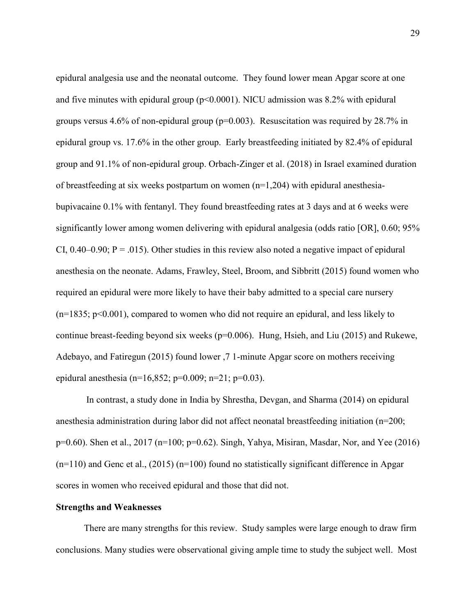epidural analgesia use and the neonatal outcome. They found lower mean Apgar score at one and five minutes with epidural group  $(p< 0.0001)$ . NICU admission was 8.2% with epidural groups versus 4.6% of non-epidural group ( $p=0.003$ ). Resuscitation was required by 28.7% in epidural group vs. 17.6% in the other group. Early breastfeeding initiated by 82.4% of epidural group and 91.1% of non-epidural group. Orbach-Zinger et al. (2018) in Israel examined duration of breastfeeding at six weeks postpartum on women (n=1,204) with epidural anesthesiabupivacaine 0.1% with fentanyl. They found breastfeeding rates at 3 days and at 6 weeks were significantly lower among women delivering with epidural analgesia (odds ratio [OR], 0.60; 95% CI,  $0.40-0.90$ ; P = .015). Other studies in this review also noted a negative impact of epidural anesthesia on the neonate. Adams, Frawley, Steel, Broom, and Sibbritt (2015) found women who required an epidural were more likely to have their baby admitted to a special care nursery (n=1835; p<0.001), compared to women who did not require an epidural, and less likely to continue breast-feeding beyond six weeks (p=0.006). Hung, Hsieh, and Liu (2015) and Rukewe, Adebayo, and Fatiregun (2015) found lower ,7 1-minute Apgar score on mothers receiving epidural anesthesia (n=16,852; p=0.009; n=21; p=0.03).

In contrast, a study done in India by Shrestha, Devgan, and Sharma (2014) on epidural anesthesia administration during labor did not affect neonatal breastfeeding initiation (n=200; p=0.60). Shen et al., 2017 (n=100; p=0.62). Singh, Yahya, Misiran, Masdar, Nor, and Yee (2016)  $(n=110)$  and Genc et al.,  $(2015)$   $(n=100)$  found no statistically significant difference in Apgar scores in women who received epidural and those that did not.

#### **Strengths and Weaknesses**

There are many strengths for this review. Study samples were large enough to draw firm conclusions. Many studies were observational giving ample time to study the subject well. Most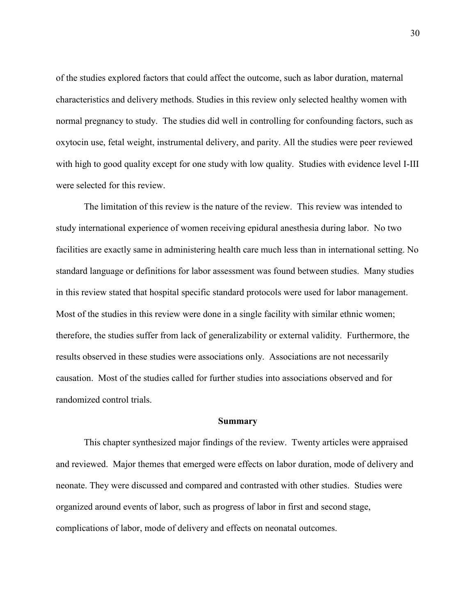of the studies explored factors that could affect the outcome, such as labor duration, maternal characteristics and delivery methods. Studies in this review only selected healthy women with normal pregnancy to study. The studies did well in controlling for confounding factors, such as oxytocin use, fetal weight, instrumental delivery, and parity. All the studies were peer reviewed with high to good quality except for one study with low quality. Studies with evidence level I-III were selected for this review.

The limitation of this review is the nature of the review. This review was intended to study international experience of women receiving epidural anesthesia during labor. No two facilities are exactly same in administering health care much less than in international setting. No standard language or definitions for labor assessment was found between studies. Many studies in this review stated that hospital specific standard protocols were used for labor management. Most of the studies in this review were done in a single facility with similar ethnic women; therefore, the studies suffer from lack of generalizability or external validity. Furthermore, the results observed in these studies were associations only. Associations are not necessarily causation. Most of the studies called for further studies into associations observed and for randomized control trials.

#### **Summary**

This chapter synthesized major findings of the review. Twenty articles were appraised and reviewed. Major themes that emerged were effects on labor duration, mode of delivery and neonate. They were discussed and compared and contrasted with other studies. Studies were organized around events of labor, such as progress of labor in first and second stage, complications of labor, mode of delivery and effects on neonatal outcomes.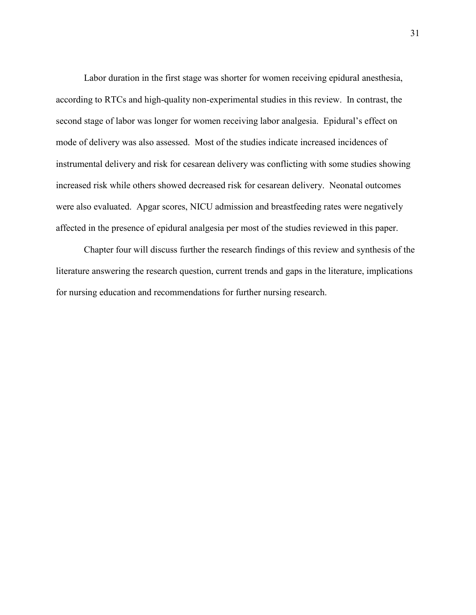Labor duration in the first stage was shorter for women receiving epidural anesthesia, according to RTCs and high-quality non-experimental studies in this review. In contrast, the second stage of labor was longer for women receiving labor analgesia. Epidural's effect on mode of delivery was also assessed. Most of the studies indicate increased incidences of instrumental delivery and risk for cesarean delivery was conflicting with some studies showing increased risk while others showed decreased risk for cesarean delivery. Neonatal outcomes were also evaluated. Apgar scores, NICU admission and breastfeeding rates were negatively affected in the presence of epidural analgesia per most of the studies reviewed in this paper.

Chapter four will discuss further the research findings of this review and synthesis of the literature answering the research question, current trends and gaps in the literature, implications for nursing education and recommendations for further nursing research.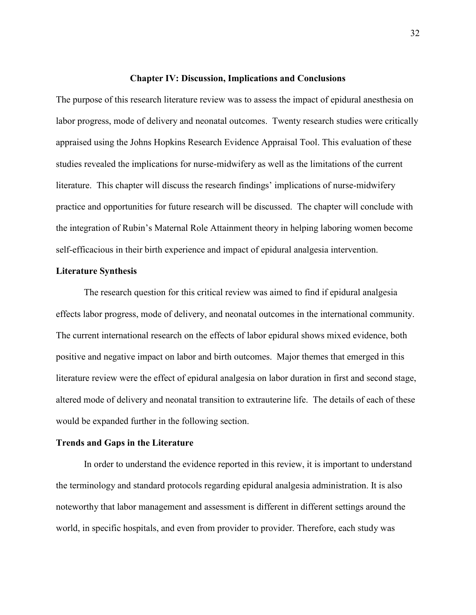#### **Chapter IV: Discussion, Implications and Conclusions**

The purpose of this research literature review was to assess the impact of epidural anesthesia on labor progress, mode of delivery and neonatal outcomes. Twenty research studies were critically appraised using the Johns Hopkins Research Evidence Appraisal Tool. This evaluation of these studies revealed the implications for nurse-midwifery as well as the limitations of the current literature. This chapter will discuss the research findings' implications of nurse-midwifery practice and opportunities for future research will be discussed. The chapter will conclude with the integration of Rubin's Maternal Role Attainment theory in helping laboring women become self-efficacious in their birth experience and impact of epidural analgesia intervention.

#### **Literature Synthesis**

The research question for this critical review was aimed to find if epidural analgesia effects labor progress, mode of delivery, and neonatal outcomes in the international community. The current international research on the effects of labor epidural shows mixed evidence, both positive and negative impact on labor and birth outcomes. Major themes that emerged in this literature review were the effect of epidural analgesia on labor duration in first and second stage, altered mode of delivery and neonatal transition to extrauterine life. The details of each of these would be expanded further in the following section.

#### **Trends and Gaps in the Literature**

In order to understand the evidence reported in this review, it is important to understand the terminology and standard protocols regarding epidural analgesia administration. It is also noteworthy that labor management and assessment is different in different settings around the world, in specific hospitals, and even from provider to provider. Therefore, each study was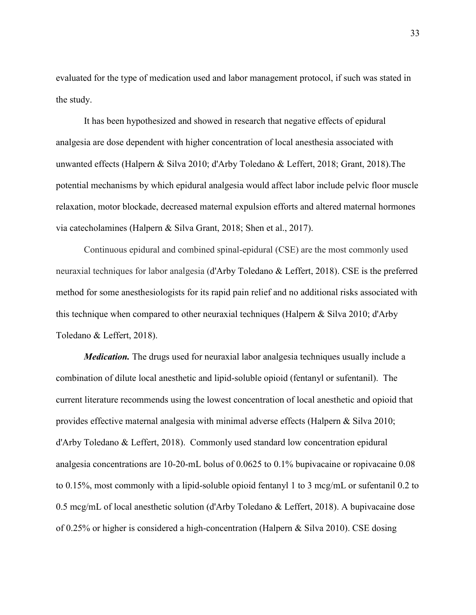evaluated for the type of medication used and labor management protocol, if such was stated in the study.

It has been hypothesized and showed in research that negative effects of epidural analgesia are dose dependent with higher concentration of local anesthesia associated with unwanted effects (Halpern & Silva 2010; d'Arby Toledano & Leffert, 2018; Grant, 2018).The potential mechanisms by which epidural analgesia would affect labor include pelvic floor muscle relaxation, motor blockade, decreased maternal expulsion efforts and altered maternal hormones via catecholamines (Halpern & Silva Grant, 2018; Shen et al., 2017).

Continuous epidural and combined spinal-epidural (CSE) are the most commonly used neuraxial techniques for labor analgesia (d'Arby Toledano & Leffert, 2018). CSE is the preferred method for some anesthesiologists for its rapid pain relief and no additional risks associated with this technique when compared to other neuraxial techniques (Halpern & Silva 2010; d'Arby Toledano & Leffert, 2018).

*Medication*. The drugs used for neuraxial labor analgesia techniques usually include a combination of dilute local anesthetic and lipid-soluble opioid (fentanyl or sufentanil). The current literature recommends using the lowest concentration of local anesthetic and opioid that provides effective maternal analgesia with minimal adverse effects (Halpern & Silva 2010; d'Arby Toledano & Leffert, 2018). Commonly used standard low concentration epidural analgesia concentrations are 10-20-mL bolus of 0.0625 to 0.1% bupivacaine or ropivacaine 0.08 to 0.15%, most commonly with a lipid-soluble opioid fentanyl 1 to 3 mcg/mL or sufentanil 0.2 to 0.5 mcg/mL of local anesthetic solution (d'Arby Toledano & Leffert, 2018). A bupivacaine dose of 0.25% or higher is considered a high-concentration (Halpern & Silva 2010). CSE dosing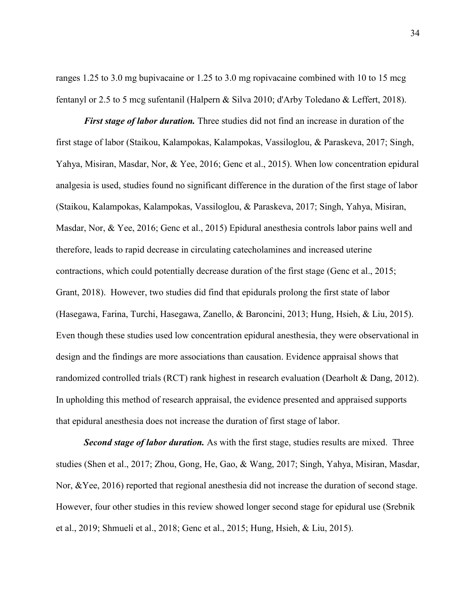ranges 1.25 to 3.0 mg bupivacaine or 1.25 to 3.0 mg ropivacaine combined with 10 to 15 mcg fentanyl or 2.5 to 5 mcg sufentanil (Halpern & Silva 2010; d'Arby Toledano & Leffert, 2018).

*First stage of labor duration.* Three studies did not find an increase in duration of the first stage of labor (Staikou, Kalampokas, Kalampokas, Vassiloglou, & Paraskeva, 2017; Singh, Yahya, Misiran, Masdar, Nor, & Yee, 2016; Genc et al., 2015). When low concentration epidural analgesia is used, studies found no significant difference in the duration of the first stage of labor (Staikou, Kalampokas, Kalampokas, Vassiloglou, & Paraskeva, 2017; Singh, Yahya, Misiran, Masdar, Nor, & Yee, 2016; Genc et al., 2015) Epidural anesthesia controls labor pains well and therefore, leads to rapid decrease in circulating catecholamines and increased uterine contractions, which could potentially decrease duration of the first stage (Genc et al., 2015; Grant, 2018). However, two studies did find that epidurals prolong the first state of labor (Hasegawa, Farina, Turchi, Hasegawa, Zanello, & Baroncini, 2013; Hung, Hsieh, & Liu, 2015). Even though these studies used low concentration epidural anesthesia, they were observational in design and the findings are more associations than causation. Evidence appraisal shows that randomized controlled trials (RCT) rank highest in research evaluation (Dearholt & Dang, 2012). In upholding this method of research appraisal, the evidence presented and appraised supports that epidural anesthesia does not increase the duration of first stage of labor.

*Second stage of labor duration.* As with the first stage, studies results are mixed. Three studies (Shen et al., 2017; Zhou, Gong, He, Gao, & Wang, 2017; Singh, Yahya, Misiran, Masdar, Nor, &Yee, 2016) reported that regional anesthesia did not increase the duration of second stage. However, four other studies in this review showed longer second stage for epidural use (Srebnik et al., 2019; Shmueli et al., 2018; Genc et al., 2015; Hung, Hsieh, & Liu, 2015).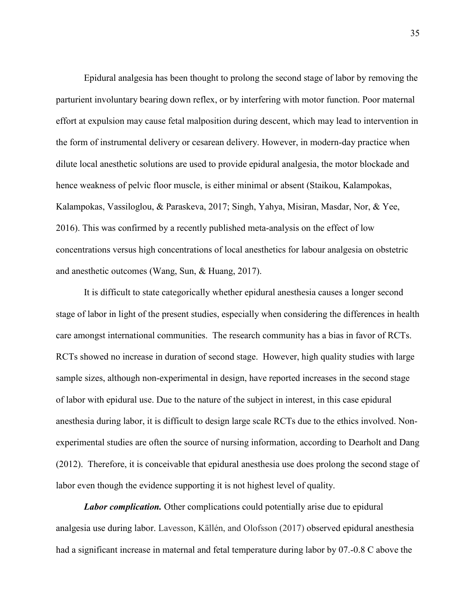Epidural analgesia has been thought to prolong the second stage of labor by removing the parturient involuntary bearing down reflex, or by interfering with motor function. Poor maternal effort at expulsion may cause fetal malposition during descent, which may lead to intervention in the form of instrumental delivery or cesarean delivery. However, in modern-day practice when dilute local anesthetic solutions are used to provide epidural analgesia, the motor blockade and hence weakness of pelvic floor muscle, is either minimal or absent (Staikou, Kalampokas, Kalampokas, Vassiloglou, & Paraskeva, 2017; Singh, Yahya, Misiran, Masdar, Nor, & Yee, 2016). This was confirmed by a recently published meta-analysis on the effect of low concentrations versus high concentrations of local anesthetics for labour analgesia on obstetric and anesthetic outcomes (Wang, Sun, & Huang, 2017).

It is difficult to state categorically whether epidural anesthesia causes a longer second stage of labor in light of the present studies, especially when considering the differences in health care amongst international communities. The research community has a bias in favor of RCTs. RCTs showed no increase in duration of second stage. However, high quality studies with large sample sizes, although non-experimental in design, have reported increases in the second stage of labor with epidural use. Due to the nature of the subject in interest, in this case epidural anesthesia during labor, it is difficult to design large scale RCTs due to the ethics involved. Nonexperimental studies are often the source of nursing information, according to Dearholt and Dang (2012). Therefore, it is conceivable that epidural anesthesia use does prolong the second stage of labor even though the evidence supporting it is not highest level of quality.

*Labor complication.* Other complications could potentially arise due to epidural analgesia use during labor. Lavesson, Källén, and Olofsson (2017) observed epidural anesthesia had a significant increase in maternal and fetal temperature during labor by 07.-0.8 C above the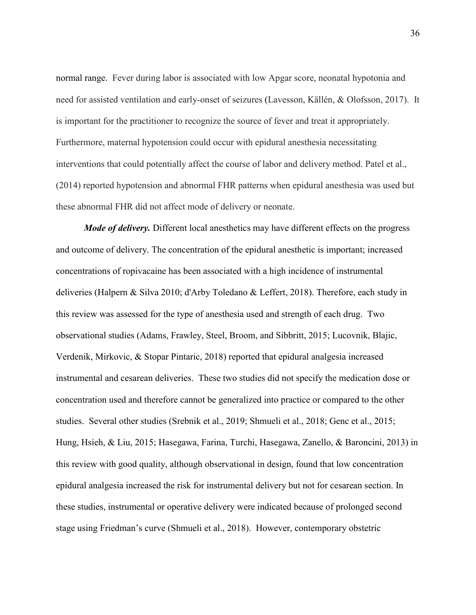normal range. Fever during labor is associated with low Apgar score, neonatal hypotonia and need for assisted ventilation and early-onset of seizures (Lavesson, Källén, & Olofsson, 2017). It is important for the practitioner to recognize the source of fever and treat it appropriately. Furthermore, maternal hypotension could occur with epidural anesthesia necessitating interventions that could potentially affect the course of labor and delivery method. Patel et al., (2014) reported hypotension and abnormal FHR patterns when epidural anesthesia was used but these abnormal FHR did not affect mode of delivery or neonate.

*Mode of delivery*. Different local anesthetics may have different effects on the progress and outcome of delivery. The concentration of the epidural anesthetic is important; increased concentrations of ropivacaine has been associated with a high incidence of instrumental deliveries (Halpern & Silva 2010; d'Arby Toledano & Leffert, 2018). Therefore, each study in this review was assessed for the type of anesthesia used and strength of each drug. Two observational studies (Adams, Frawley, Steel, Broom, and Sibbritt, 2015; Lucovnik, Blajic, Verdenik, Mirkovic, & Stopar Pintaric, 2018) reported that epidural analgesia increased instrumental and cesarean deliveries. These two studies did not specify the medication dose or concentration used and therefore cannot be generalized into practice or compared to the other studies. Several other studies (Srebnik et al., 2019; Shmueli et al., 2018; Genc et al., 2015; Hung, Hsieh, & Liu, 2015; Hasegawa, Farina, Turchi, Hasegawa, Zanello, & Baroncini, 2013) in this review with good quality, although observational in design, found that low concentration epidural analgesia increased the risk for instrumental delivery but not for cesarean section. In these studies, instrumental or operative delivery were indicated because of prolonged second stage using Friedman's curve (Shmueli et al., 2018). However, contemporary obstetric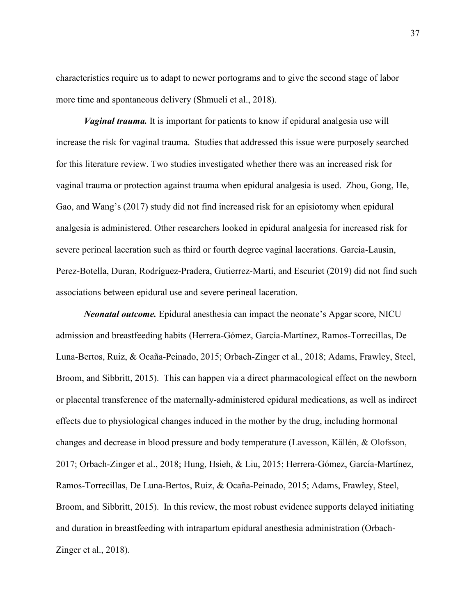characteristics require us to adapt to newer portograms and to give the second stage of labor more time and spontaneous delivery (Shmueli et al., 2018).

*Vaginal trauma.* It is important for patients to know if epidural analgesia use will increase the risk for vaginal trauma. Studies that addressed this issue were purposely searched for this literature review. Two studies investigated whether there was an increased risk for vaginal trauma or protection against trauma when epidural analgesia is used. Zhou, Gong, He, Gao, and Wang's (2017) study did not find increased risk for an episiotomy when epidural analgesia is administered. Other researchers looked in epidural analgesia for increased risk for severe perineal laceration such as third or fourth degree vaginal lacerations. Garcia-Lausin, Perez-Botella, Duran, Rodríguez-Pradera, Gutierrez-Martí, and Escuriet (2019) did not find such associations between epidural use and severe perineal laceration.

*Neonatal outcome.* Epidural anesthesia can impact the neonate's Apgar score, NICU admission and breastfeeding habits (Herrera-Gómez, García-Martínez, Ramos-Torrecillas, De Luna-Bertos, Ruiz, & Ocaña-Peinado, 2015; Orbach-Zinger et al., 2018; Adams, Frawley, Steel, Broom, and Sibbritt, 2015). This can happen via a direct pharmacological effect on the newborn or placental transference of the maternally-administered epidural medications, as well as indirect effects due to physiological changes induced in the mother by the drug, including hormonal changes and decrease in blood pressure and body temperature (Lavesson, Källén, & Olofsson, 2017; Orbach-Zinger et al., 2018; Hung, Hsieh, & Liu, 2015; Herrera-Gómez, García-Martínez, Ramos-Torrecillas, De Luna-Bertos, Ruiz, & Ocaña-Peinado, 2015; Adams, Frawley, Steel, Broom, and Sibbritt, 2015). In this review, the most robust evidence supports delayed initiating and duration in breastfeeding with intrapartum epidural anesthesia administration (Orbach-Zinger et al., 2018).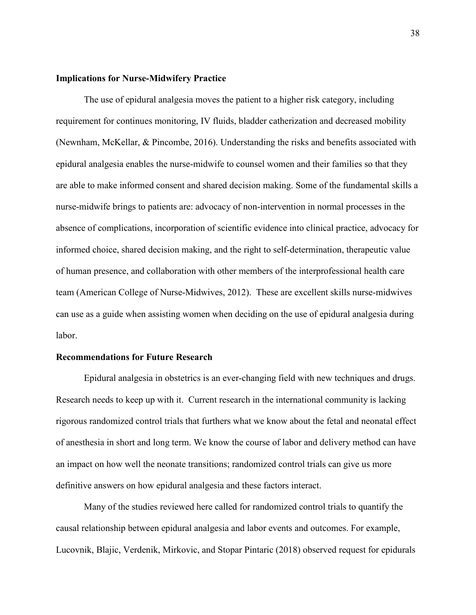#### **Implications for Nurse-Midwifery Practice**

The use of epidural analgesia moves the patient to a higher risk category, including requirement for continues monitoring, IV fluids, bladder catherization and decreased mobility (Newnham, McKellar, & Pincombe, 2016). Understanding the risks and benefits associated with epidural analgesia enables the nurse-midwife to counsel women and their families so that they are able to make informed consent and shared decision making. Some of the fundamental skills a nurse-midwife brings to patients are: advocacy of non-intervention in normal processes in the absence of complications, incorporation of scientific evidence into clinical practice, advocacy for informed choice, shared decision making, and the right to self-determination, therapeutic value of human presence, and collaboration with other members of the interprofessional health care team (American College of Nurse-Midwives, 2012). These are excellent skills nurse-midwives can use as a guide when assisting women when deciding on the use of epidural analgesia during labor.

#### **Recommendations for Future Research**

Epidural analgesia in obstetrics is an ever-changing field with new techniques and drugs. Research needs to keep up with it. Current research in the international community is lacking rigorous randomized control trials that furthers what we know about the fetal and neonatal effect of anesthesia in short and long term. We know the course of labor and delivery method can have an impact on how well the neonate transitions; randomized control trials can give us more definitive answers on how epidural analgesia and these factors interact.

Many of the studies reviewed here called for randomized control trials to quantify the causal relationship between epidural analgesia and labor events and outcomes. For example, Lucovnik, Blajic, Verdenik, Mirkovic, and Stopar Pintaric (2018) observed request for epidurals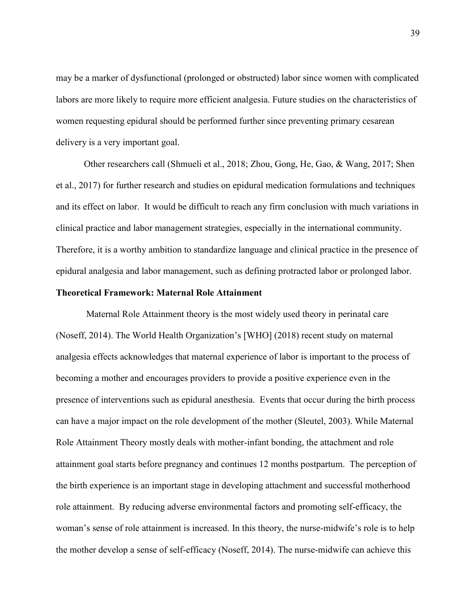may be a marker of dysfunctional (prolonged or obstructed) labor since women with complicated labors are more likely to require more efficient analgesia. Future studies on the characteristics of women requesting epidural should be performed further since preventing primary cesarean delivery is a very important goal.

Other researchers call (Shmueli et al., 2018; Zhou, Gong, He, Gao, & Wang, 2017; Shen et al., 2017) for further research and studies on epidural medication formulations and techniques and its effect on labor. It would be difficult to reach any firm conclusion with much variations in clinical practice and labor management strategies, especially in the international community. Therefore, it is a worthy ambition to standardize language and clinical practice in the presence of epidural analgesia and labor management, such as defining protracted labor or prolonged labor.

#### **Theoretical Framework: Maternal Role Attainment**

Maternal Role Attainment theory is the most widely used theory in perinatal care (Noseff, 2014). The World Health Organization's [WHO] (2018) recent study on maternal analgesia effects acknowledges that maternal experience of labor is important to the process of becoming a mother and encourages providers to provide a positive experience even in the presence of interventions such as epidural anesthesia. Events that occur during the birth process can have a major impact on the role development of the mother (Sleutel, 2003). While Maternal Role Attainment Theory mostly deals with mother-infant bonding, the attachment and role attainment goal starts before pregnancy and continues 12 months postpartum. The perception of the birth experience is an important stage in developing attachment and successful motherhood role attainment. By reducing adverse environmental factors and promoting self-efficacy, the woman's sense of role attainment is increased. In this theory, the nurse-midwife's role is to help the mother develop a sense of self-efficacy (Noseff, 2014). The nurse-midwife can achieve this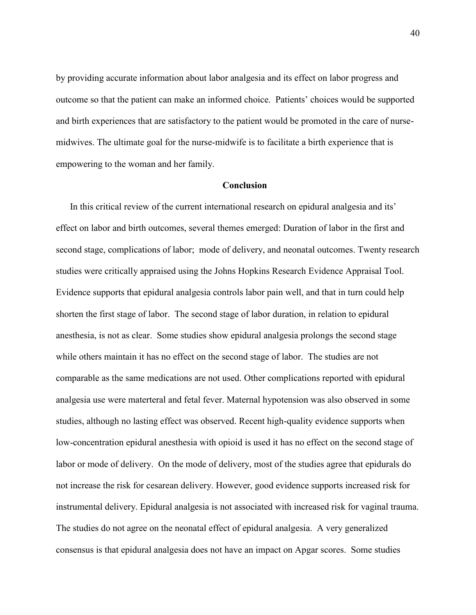by providing accurate information about labor analgesia and its effect on labor progress and outcome so that the patient can make an informed choice. Patients' choices would be supported and birth experiences that are satisfactory to the patient would be promoted in the care of nursemidwives. The ultimate goal for the nurse-midwife is to facilitate a birth experience that is empowering to the woman and her family.

#### **Conclusion**

In this critical review of the current international research on epidural analgesia and its' effect on labor and birth outcomes, several themes emerged: Duration of labor in the first and second stage, complications of labor; mode of delivery, and neonatal outcomes. Twenty research studies were critically appraised using the Johns Hopkins Research Evidence Appraisal Tool. Evidence supports that epidural analgesia controls labor pain well, and that in turn could help shorten the first stage of labor. The second stage of labor duration, in relation to epidural anesthesia, is not as clear. Some studies show epidural analgesia prolongs the second stage while others maintain it has no effect on the second stage of labor. The studies are not comparable as the same medications are not used. Other complications reported with epidural analgesia use were materteral and fetal fever. Maternal hypotension was also observed in some studies, although no lasting effect was observed. Recent high-quality evidence supports when low-concentration epidural anesthesia with opioid is used it has no effect on the second stage of labor or mode of delivery. On the mode of delivery, most of the studies agree that epidurals do not increase the risk for cesarean delivery. However, good evidence supports increased risk for instrumental delivery. Epidural analgesia is not associated with increased risk for vaginal trauma. The studies do not agree on the neonatal effect of epidural analgesia. A very generalized consensus is that epidural analgesia does not have an impact on Apgar scores. Some studies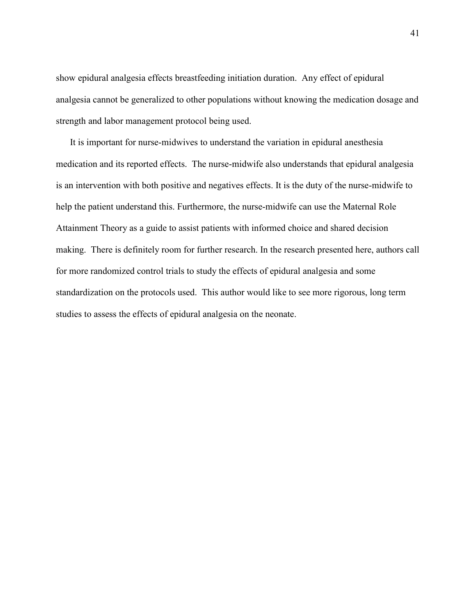show epidural analgesia effects breastfeeding initiation duration. Any effect of epidural analgesia cannot be generalized to other populations without knowing the medication dosage and strength and labor management protocol being used.

It is important for nurse-midwives to understand the variation in epidural anesthesia medication and its reported effects. The nurse-midwife also understands that epidural analgesia is an intervention with both positive and negatives effects. It is the duty of the nurse-midwife to help the patient understand this. Furthermore, the nurse-midwife can use the Maternal Role Attainment Theory as a guide to assist patients with informed choice and shared decision making. There is definitely room for further research. In the research presented here, authors call for more randomized control trials to study the effects of epidural analgesia and some standardization on the protocols used. This author would like to see more rigorous, long term studies to assess the effects of epidural analgesia on the neonate.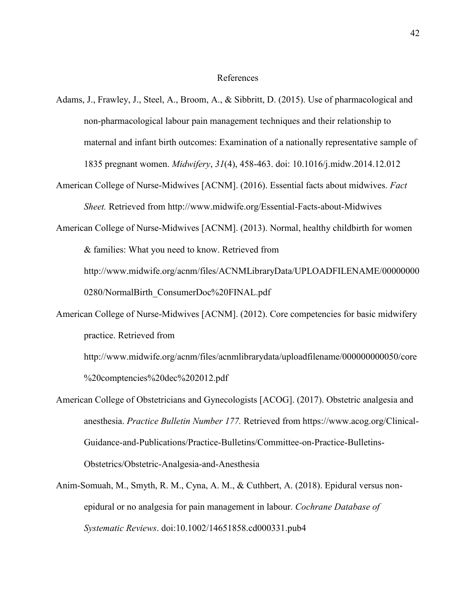#### References

- Adams, J., Frawley, J., Steel, A., Broom, A., & Sibbritt, D. (2015). Use of pharmacological and non-pharmacological labour pain management techniques and their relationship to maternal and infant birth outcomes: Examination of a nationally representative sample of 1835 pregnant women. *Midwifery*, *31*(4), 458-463. doi: 10.1016/j.midw.2014.12.012
- American College of Nurse-Midwives [ACNM]. (2016). Essential facts about midwives. *Fact Sheet.* Retrieved from http://www.midwife.org/Essential-Facts-about-Midwives

American College of Nurse-Midwives [ACNM]. (2013). Normal, healthy childbirth for women & families: What you need to know. Retrieved from http://www.midwife.org/acnm/files/ACNMLibraryData/UPLOADFILENAME/00000000 0280/NormalBirth\_ConsumerDoc%20FINAL.pdf

American College of Nurse-Midwives [ACNM]. (2012). Core competencies for basic midwifery practice. Retrieved from

http://www.midwife.org/acnm/files/acnmlibrarydata/uploadfilename/000000000050/core %20comptencies%20dec%202012.pdf

- American College of Obstetricians and Gynecologists [ACOG]. (2017). Obstetric analgesia and anesthesia. *Practice Bulletin Number 177.* Retrieved from https://www.acog.org/Clinical-Guidance-and-Publications/Practice-Bulletins/Committee-on-Practice-Bulletins-Obstetrics/Obstetric-Analgesia-and-Anesthesia
- Anim-Somuah, M., Smyth, R. M., Cyna, A. M., & Cuthbert, A. (2018). Epidural versus nonepidural or no analgesia for pain management in labour. *Cochrane Database of Systematic Reviews*. doi:10.1002/14651858.cd000331.pub4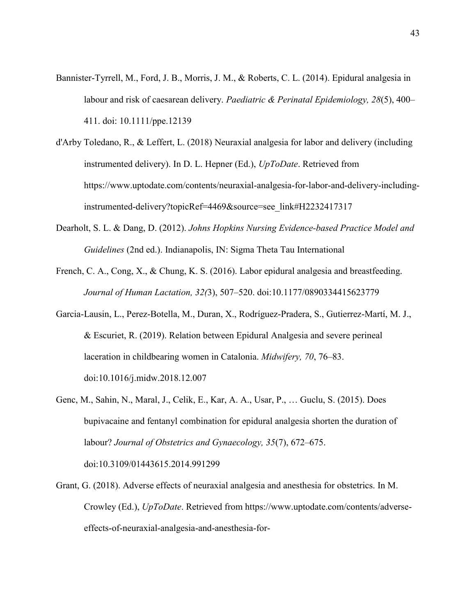- Bannister-Tyrrell, M., Ford, J. B., Morris, J. M., & Roberts, C. L. (2014). Epidural analgesia in labour and risk of caesarean delivery. *Paediatric & Perinatal Epidemiology, 28*(5), 400– 411. doi: 10.1111/ppe.12139
- d'Arby Toledano, R., & Leffert, L. (2018) Neuraxial analgesia for labor and delivery (including instrumented delivery). In D. L. Hepner (Ed.), *UpToDate*. Retrieved from https://www.uptodate.com/contents/neuraxial-analgesia-for-labor-and-delivery-includinginstrumented-delivery?topicRef=4469&source=see\_link#H2232417317
- Dearholt, S. L. & Dang, D. (2012). *Johns Hopkins Nursing Evidence-based Practice Model and Guidelines* (2nd ed.). Indianapolis, IN: Sigma Theta Tau International
- French, C. A., Cong, X., & Chung, K. S. (2016). Labor epidural analgesia and breastfeeding. *Journal of Human Lactation, 32(*3), 507–520. doi:10.1177/0890334415623779
- Garcia-Lausin, L., Perez-Botella, M., Duran, X., Rodríguez-Pradera, S., Gutierrez-Martí, M. J., & Escuriet, R. (2019). Relation between Epidural Analgesia and severe perineal laceration in childbearing women in Catalonia. *Midwifery, 70*, 76–83. doi:10.1016/j.midw.2018.12.007
- Genc, M., Sahin, N., Maral, J., Celik, E., Kar, A. A., Usar, P., … Guclu, S. (2015). Does bupivacaine and fentanyl combination for epidural analgesia shorten the duration of labour? *Journal of Obstetrics and Gynaecology, 35*(7), 672–675. doi:10.3109/01443615.2014.991299
- Grant, G. (2018). Adverse effects of neuraxial analgesia and anesthesia for obstetrics. In M. Crowley (Ed.), *UpToDate*. Retrieved from https://www.uptodate.com/contents/adverseeffects-of-neuraxial-analgesia-and-anesthesia-for-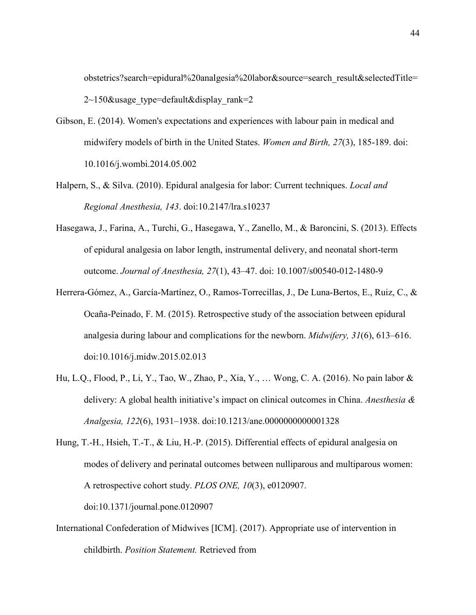obstetrics?search=epidural%20analgesia%20labor&source=search\_result&selectedTitle=  $2\text{~150}$ &usage type=default&display rank=2

- Gibson, E. (2014). Women's expectations and experiences with labour pain in medical and midwifery models of birth in the United States. *Women and Birth, 27*(3), 185-189. doi: 10.1016/j.wombi.2014.05.002
- Halpern, S., & Silva. (2010). Epidural analgesia for labor: Current techniques. *Local and Regional Anesthesia, 143*. doi:10.2147/lra.s10237
- Hasegawa, J., Farina, A., Turchi, G., Hasegawa, Y., Zanello, M., & Baroncini, S. (2013). Effects of epidural analgesia on labor length, instrumental delivery, and neonatal short-term outcome. *Journal of Anesthesia, 27*(1), 43–47. doi: 10.1007/s00540-012-1480-9
- Herrera-Gómez, A., García-Martínez, O., Ramos-Torrecillas, J., De Luna-Bertos, E., Ruiz, C., & Ocaña-Peinado, F. M. (2015). Retrospective study of the association between epidural analgesia during labour and complications for the newborn. *Midwifery, 31*(6), 613–616. doi:10.1016/j.midw.2015.02.013
- Hu, L.Q., Flood, P., Li, Y., Tao, W., Zhao, P., Xia, Y., … Wong, C. A. (2016). No pain labor & delivery: A global health initiative's impact on clinical outcomes in China. *Anesthesia & Analgesia, 122*(6), 1931–1938. doi:10.1213/ane.0000000000001328

Hung, T.-H., Hsieh, T.-T., & Liu, H.-P. (2015). Differential effects of epidural analgesia on modes of delivery and perinatal outcomes between nulliparous and multiparous women: A retrospective cohort study. *PLOS ONE, 10*(3), e0120907. doi:10.1371/journal.pone.0120907

International Confederation of Midwives [ICM]. (2017). Appropriate use of intervention in childbirth. *Position Statement.* Retrieved from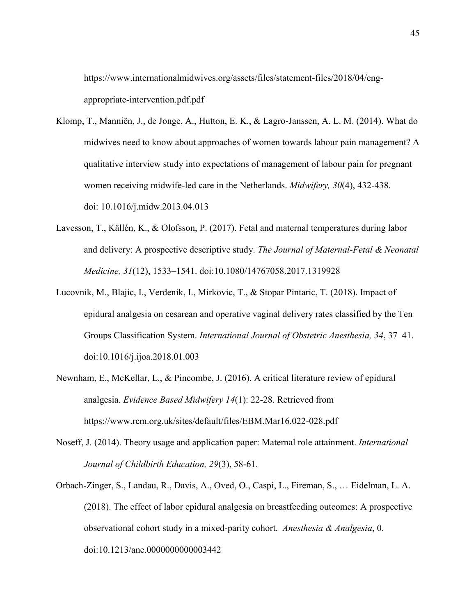https://www.internationalmidwives.org/assets/files/statement-files/2018/04/engappropriate-intervention.pdf.pdf

- Klomp, T., Manniën, J., de Jonge, A., Hutton, E. K., & Lagro-Janssen, A. L. M. (2014). What do midwives need to know about approaches of women towards labour pain management? A qualitative interview study into expectations of management of labour pain for pregnant women receiving midwife-led care in the Netherlands. *Midwifery, 30*(4), 432-438. doi: 10.1016/j.midw.2013.04.013
- Lavesson, T., Källén, K., & Olofsson, P. (2017). Fetal and maternal temperatures during labor and delivery: A prospective descriptive study. *The Journal of Maternal-Fetal & Neonatal Medicine, 31*(12), 1533–1541. doi:10.1080/14767058.2017.1319928
- Lucovnik, M., Blajic, I., Verdenik, I., Mirkovic, T., & Stopar Pintaric, T. (2018). Impact of epidural analgesia on cesarean and operative vaginal delivery rates classified by the Ten Groups Classification System. *International Journal of Obstetric Anesthesia, 34*, 37–41. doi:10.1016/j.ijoa.2018.01.003
- Newnham, E., McKellar, L., & Pincombe, J. (2016). A critical literature review of epidural analgesia. *Evidence Based Midwifery 14*(1): 22-28. Retrieved from https://www.rcm.org.uk/sites/default/files/EBM.Mar16.022-028.pdf
- Noseff, J. (2014). Theory usage and application paper: Maternal role attainment. *International Journal of Childbirth Education, 29*(3), 58-61.
- Orbach-Zinger, S., Landau, R., Davis, A., Oved, O., Caspi, L., Fireman, S., … Eidelman, L. A. (2018). The effect of labor epidural analgesia on breastfeeding outcomes: A prospective observational cohort study in a mixed-parity cohort. *Anesthesia & Analgesia*, 0. doi:10.1213/ane.0000000000003442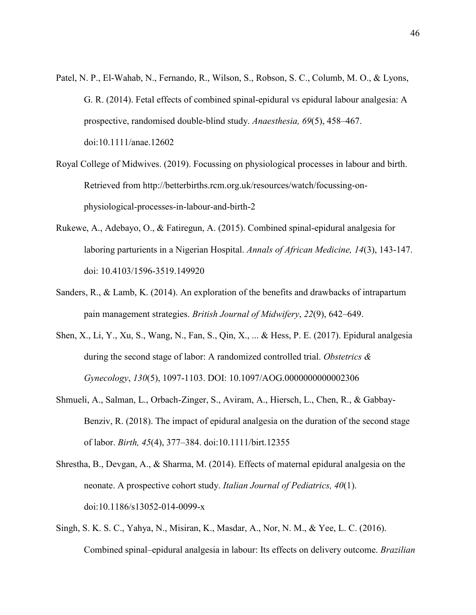- Patel, N. P., El-Wahab, N., Fernando, R., Wilson, S., Robson, S. C., Columb, M. O., & Lyons, G. R. (2014). Fetal effects of combined spinal-epidural vs epidural labour analgesia: A prospective, randomised double-blind study. *Anaesthesia, 69*(5), 458–467. doi:10.1111/anae.12602
- Royal College of Midwives. (2019). Focussing on physiological processes in labour and birth. Retrieved from http://betterbirths.rcm.org.uk/resources/watch/focussing-onphysiological-processes-in-labour-and-birth-2
- Rukewe, A., Adebayo, O., & Fatiregun, A. (2015). Combined spinal-epidural analgesia for laboring parturients in a Nigerian Hospital. *Annals of African Medicine, 14*(3), 143-147. doi: 10.4103/1596-3519.149920
- Sanders, R., & Lamb, K. (2014). An exploration of the benefits and drawbacks of intrapartum pain management strategies. *British Journal of Midwifery*, *22*(9), 642–649.
- Shen, X., Li, Y., Xu, S., Wang, N., Fan, S., Qin, X., ... & Hess, P. E. (2017). Epidural analgesia during the second stage of labor: A randomized controlled trial. *Obstetrics & Gynecology*, *130*(5), 1097-1103. DOI: 10.1097/AOG.0000000000002306
- Shmueli, A., Salman, L., Orbach-Zinger, S., Aviram, A., Hiersch, L., Chen, R., & Gabbay-Benziv, R. (2018). The impact of epidural analgesia on the duration of the second stage of labor. *Birth, 45*(4), 377–384. doi:10.1111/birt.12355
- Shrestha, B., Devgan, A., & Sharma, M. (2014). Effects of maternal epidural analgesia on the neonate. A prospective cohort study. *Italian Journal of Pediatrics, 40*(1). doi:10.1186/s13052-014-0099-x
- Singh, S. K. S. C., Yahya, N., Misiran, K., Masdar, A., Nor, N. M., & Yee, L. C. (2016). Combined spinal–epidural analgesia in labour: Its effects on delivery outcome. *Brazilian*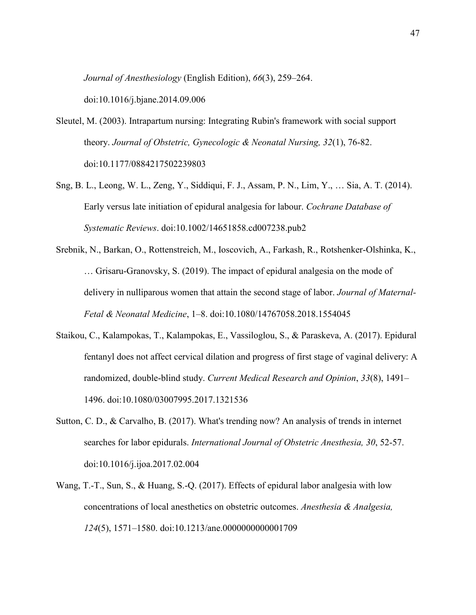*Journal of Anesthesiology* (English Edition), *66*(3), 259–264.

doi:10.1016/j.bjane.2014.09.006

- Sleutel, M. (2003). Intrapartum nursing: Integrating Rubin's framework with social support theory. *Journal of Obstetric, Gynecologic & Neonatal Nursing, 32*(1), 76-82. doi:10.1177/0884217502239803
- Sng, B. L., Leong, W. L., Zeng, Y., Siddiqui, F. J., Assam, P. N., Lim, Y., … Sia, A. T. (2014). Early versus late initiation of epidural analgesia for labour. *Cochrane Database of Systematic Reviews*. doi:10.1002/14651858.cd007238.pub2
- Srebnik, N., Barkan, O., Rottenstreich, M., Ioscovich, A., Farkash, R., Rotshenker-Olshinka, K., … Grisaru-Granovsky, S. (2019). The impact of epidural analgesia on the mode of delivery in nulliparous women that attain the second stage of labor. *Journal of Maternal-Fetal & Neonatal Medicine*, 1–8. doi:10.1080/14767058.2018.1554045
- Staikou, C., Kalampokas, T., Kalampokas, E., Vassiloglou, S., & Paraskeva, A. (2017). Epidural fentanyl does not affect cervical dilation and progress of first stage of vaginal delivery: A randomized, double-blind study. *Current Medical Research and Opinion*, *33*(8), 1491– 1496. doi:10.1080/03007995.2017.1321536
- Sutton, C. D., & Carvalho, B. (2017). What's trending now? An analysis of trends in internet searches for labor epidurals. *International Journal of Obstetric Anesthesia, 30*, 52-57. doi:10.1016/j.ijoa.2017.02.004
- Wang, T.-T., Sun, S., & Huang, S.-Q. (2017). Effects of epidural labor analgesia with low concentrations of local anesthetics on obstetric outcomes. *Anesthesia & Analgesia, 124*(5), 1571–1580. doi:10.1213/ane.0000000000001709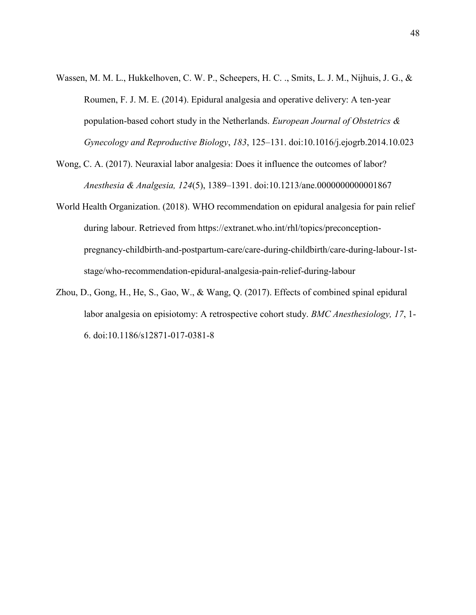- Wassen, M. M. L., Hukkelhoven, C. W. P., Scheepers, H. C. ., Smits, L. J. M., Nijhuis, J. G., & Roumen, F. J. M. E. (2014). Epidural analgesia and operative delivery: A ten-year population-based cohort study in the Netherlands. *European Journal of Obstetrics & Gynecology and Reproductive Biology*, *183*, 125–131. doi:10.1016/j.ejogrb.2014.10.023
- Wong, C. A. (2017). Neuraxial labor analgesia: Does it influence the outcomes of labor? *Anesthesia & Analgesia, 124*(5), 1389–1391. doi:10.1213/ane.0000000000001867
- World Health Organization. (2018). WHO recommendation on epidural analgesia for pain relief during labour. Retrieved from https://extranet.who.int/rhl/topics/preconceptionpregnancy-childbirth-and-postpartum-care/care-during-childbirth/care-during-labour-1ststage/who-recommendation-epidural-analgesia-pain-relief-during-labour
- Zhou, D., Gong, H., He, S., Gao, W., & Wang, Q. (2017). Effects of combined spinal epidural labor analgesia on episiotomy: A retrospective cohort study. *BMC Anesthesiology, 17*, 1- 6. doi:10.1186/s12871-017-0381-8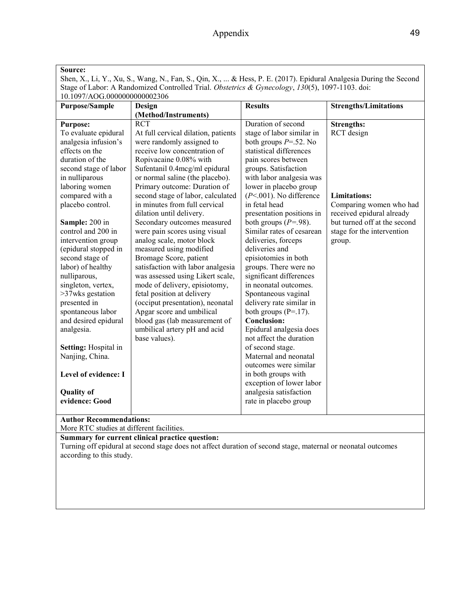| 10.1097/AOG.0000000000002306                                                                                                                                                                                                                                                                                                                                                                                                                                                                                                                                                                                            |                                                                                                                                                                                                                                                                                                                                                                                                                                                                                                                                                                                                                                                                                                                                                                                             | <b>Results</b>                                                                                                                                                                                                                                                                                                                                                                                                                                                                                                                                                                                                                                                                                                                                                                                                                        |                                                                                                                                                                                        |
|-------------------------------------------------------------------------------------------------------------------------------------------------------------------------------------------------------------------------------------------------------------------------------------------------------------------------------------------------------------------------------------------------------------------------------------------------------------------------------------------------------------------------------------------------------------------------------------------------------------------------|---------------------------------------------------------------------------------------------------------------------------------------------------------------------------------------------------------------------------------------------------------------------------------------------------------------------------------------------------------------------------------------------------------------------------------------------------------------------------------------------------------------------------------------------------------------------------------------------------------------------------------------------------------------------------------------------------------------------------------------------------------------------------------------------|---------------------------------------------------------------------------------------------------------------------------------------------------------------------------------------------------------------------------------------------------------------------------------------------------------------------------------------------------------------------------------------------------------------------------------------------------------------------------------------------------------------------------------------------------------------------------------------------------------------------------------------------------------------------------------------------------------------------------------------------------------------------------------------------------------------------------------------|----------------------------------------------------------------------------------------------------------------------------------------------------------------------------------------|
| <b>Purpose/Sample</b>                                                                                                                                                                                                                                                                                                                                                                                                                                                                                                                                                                                                   | Design<br>(Method/Instruments)                                                                                                                                                                                                                                                                                                                                                                                                                                                                                                                                                                                                                                                                                                                                                              |                                                                                                                                                                                                                                                                                                                                                                                                                                                                                                                                                                                                                                                                                                                                                                                                                                       | <b>Strengths/Limitations</b>                                                                                                                                                           |
| <b>Purpose:</b><br>To evaluate epidural<br>analgesia infusion's<br>effects on the<br>duration of the<br>second stage of labor<br>in nulliparous<br>laboring women<br>compared with a<br>placebo control.<br>Sample: 200 in<br>control and 200 in<br>intervention group<br>(epidural stopped in<br>second stage of<br>labor) of healthy<br>nulliparous,<br>singleton, vertex,<br>>37wks gestation<br>presented in<br>spontaneous labor<br>and desired epidural<br>analgesia.<br>Setting: Hospital in<br>Nanjing, China.<br>Level of evidence: I<br><b>Quality of</b><br>evidence: Good<br><b>Author Recommendations:</b> | <b>RCT</b><br>At full cervical dilation, patients<br>were randomly assigned to<br>receive low concentration of<br>Ropivacaine 0.08% with<br>Sufentanil 0.4mcg/ml epidural<br>or normal saline (the placebo).<br>Primary outcome: Duration of<br>second stage of labor, calculated<br>in minutes from full cervical<br>dilation until delivery.<br>Secondary outcomes measured<br>were pain scores using visual<br>analog scale, motor block<br>measured using modified<br>Bromage Score, patient<br>satisfaction with labor analgesia<br>was assessed using Likert scale,<br>mode of delivery, episiotomy,<br>fetal position at delivery<br>(occiput presentation), neonatal<br>Apgar score and umbilical<br>blood gas (lab measurement of<br>umbilical artery pH and acid<br>base values). | Duration of second<br>stage of labor similar in<br>both groups $P = .52$ . No<br>statistical differences<br>pain scores between<br>groups. Satisfaction<br>with labor analgesia was<br>lower in placebo group<br>$(P<.001)$ . No difference<br>in fetal head<br>presentation positions in<br>both groups $(P=.98)$ .<br>Similar rates of cesarean<br>deliveries, forceps<br>deliveries and<br>episiotomies in both<br>groups. There were no<br>significant differences<br>in neonatal outcomes.<br>Spontaneous vaginal<br>delivery rate similar in<br>both groups $(P=.17)$ .<br><b>Conclusion:</b><br>Epidural analgesia does<br>not affect the duration<br>of second stage.<br>Maternal and neonatal<br>outcomes were similar<br>in both groups with<br>exception of lower labor<br>analgesia satisfaction<br>rate in placebo group | <b>Strengths:</b><br>RCT design<br><b>Limitations:</b><br>Comparing women who had<br>received epidural already<br>but turned off at the second<br>stage for the intervention<br>group. |
| More RTC studies at different facilities.                                                                                                                                                                                                                                                                                                                                                                                                                                                                                                                                                                               |                                                                                                                                                                                                                                                                                                                                                                                                                                                                                                                                                                                                                                                                                                                                                                                             |                                                                                                                                                                                                                                                                                                                                                                                                                                                                                                                                                                                                                                                                                                                                                                                                                                       |                                                                                                                                                                                        |
| according to this study.                                                                                                                                                                                                                                                                                                                                                                                                                                                                                                                                                                                                | Summary for current clinical practice question:<br>Turning off epidural at second stage does not affect duration of second stage, maternal or neonatal outcomes                                                                                                                                                                                                                                                                                                                                                                                                                                                                                                                                                                                                                             |                                                                                                                                                                                                                                                                                                                                                                                                                                                                                                                                                                                                                                                                                                                                                                                                                                       |                                                                                                                                                                                        |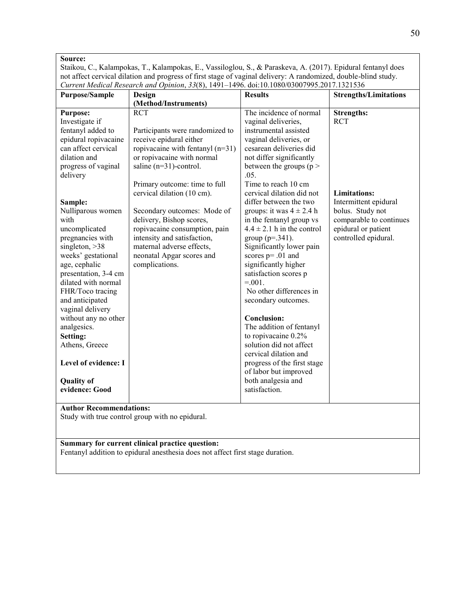Staikou, C., Kalampokas, T., Kalampokas, E., Vassiloglou, S., & Paraskeva, A. (2017). Epidural fentanyl does not affect cervical dilation and progress of first stage of vaginal delivery: A randomized, double-blind study. *Current Medical Research and Opinion*, *33*(8), 1491–1496. doi:10.1080/03007995.2017.1321536

| (Method/Instruments)<br>The incidence of normal<br><b>RCT</b><br><b>Strengths:</b><br><b>Purpose:</b><br>Investigate if<br>vaginal deliveries,<br><b>RCT</b><br>instrumental assisted<br>fentanyl added to<br>Participants were randomized to<br>epidural ropivacaine<br>receive epidural either<br>vaginal deliveries, or<br>can affect cervical<br>ropivacaine with fentanyl $(n=31)$<br>cesarean deliveries did                                                                                                                                                                                                                                                                                                                                                                                                                                                                                                                                                                                                                                                                                                                                                                                                                                                                                                                                                                                                                                                                                                                                                 | <b>Strengths/Limitations</b> |
|--------------------------------------------------------------------------------------------------------------------------------------------------------------------------------------------------------------------------------------------------------------------------------------------------------------------------------------------------------------------------------------------------------------------------------------------------------------------------------------------------------------------------------------------------------------------------------------------------------------------------------------------------------------------------------------------------------------------------------------------------------------------------------------------------------------------------------------------------------------------------------------------------------------------------------------------------------------------------------------------------------------------------------------------------------------------------------------------------------------------------------------------------------------------------------------------------------------------------------------------------------------------------------------------------------------------------------------------------------------------------------------------------------------------------------------------------------------------------------------------------------------------------------------------------------------------|------------------------------|
|                                                                                                                                                                                                                                                                                                                                                                                                                                                                                                                                                                                                                                                                                                                                                                                                                                                                                                                                                                                                                                                                                                                                                                                                                                                                                                                                                                                                                                                                                                                                                                    |                              |
| dilation and<br>or ropivacaine with normal<br>not differ significantly<br>saline $(n=31)$ -control.<br>between the groups ( $p >$<br>progress of vaginal<br>delivery<br>.05.<br>Time to reach 10 cm<br>Primary outcome: time to full<br>cervical dilation (10 cm).<br>cervical dilation did not<br><b>Limitations:</b><br>Intermittent epidural<br>differ between the two<br>Sample:<br>Nulliparous women<br>groups: it was $4 \pm 2.4$ h<br>bolus. Study not<br>Secondary outcomes: Mode of<br>in the fentanyl group vs<br>with<br>delivery, Bishop scores,<br>$4.4 \pm 2.1$ h in the control<br>epidural or patient<br>ropivacaine consumption, pain<br>uncomplicated<br>pregnancies with<br>controlled epidural.<br>intensity and satisfaction,<br>group ( $p = 0.341$ ).<br>singleton, $>38$<br>maternal adverse effects,<br>Significantly lower pain<br>weeks' gestational<br>neonatal Apgar scores and<br>scores $p = .01$ and<br>age, cephalic<br>complications.<br>significantly higher<br>presentation, 3-4 cm<br>satisfaction scores p<br>$= 0.01$ .<br>dilated with normal<br>FHR/Toco tracing<br>No other differences in<br>and anticipated<br>secondary outcomes.<br>vaginal delivery<br>without any no other<br><b>Conclusion:</b><br>The addition of fentanyl<br>analgesics.<br>to ropivacaine 0.2%<br>Setting:<br>solution did not affect<br>Athens, Greece<br>cervical dilation and<br>Level of evidence: I<br>progress of the first stage<br>of labor but improved<br>both analgesia and<br><b>Quality of</b><br>satisfaction.<br>evidence: Good | comparable to continues      |
| <b>Author Recommendations:</b>                                                                                                                                                                                                                                                                                                                                                                                                                                                                                                                                                                                                                                                                                                                                                                                                                                                                                                                                                                                                                                                                                                                                                                                                                                                                                                                                                                                                                                                                                                                                     |                              |
| Study with true control group with no epidural.                                                                                                                                                                                                                                                                                                                                                                                                                                                                                                                                                                                                                                                                                                                                                                                                                                                                                                                                                                                                                                                                                                                                                                                                                                                                                                                                                                                                                                                                                                                    |                              |
|                                                                                                                                                                                                                                                                                                                                                                                                                                                                                                                                                                                                                                                                                                                                                                                                                                                                                                                                                                                                                                                                                                                                                                                                                                                                                                                                                                                                                                                                                                                                                                    |                              |

**Summary for current clinical practice question:** 

Fentanyl addition to epidural anesthesia does not affect first stage duration.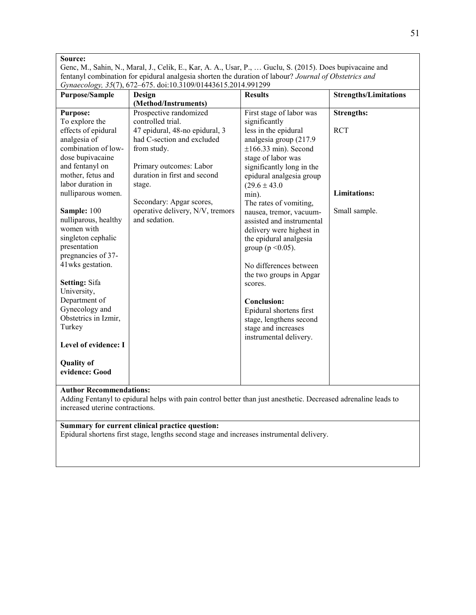Genc, M., Sahin, N., Maral, J., Celik, E., Kar, A. A., Usar, P., … Guclu, S. (2015). Does bupivacaine and fentanyl combination for epidural analgesia shorten the duration of labour? *Journal of Obstetrics and Gynaecology, 35*(7), 672–675. doi:10.3109/01443615.2014.991299

| <b>Purpose/Sample</b>          | Design                           | <b>Results</b>            | <b>Strengths/Limitations</b> |
|--------------------------------|----------------------------------|---------------------------|------------------------------|
|                                | (Method/Instruments)             |                           |                              |
| <b>Purpose:</b>                | Prospective randomized           | First stage of labor was  | <b>Strengths:</b>            |
| To explore the                 | controlled trial.                | significantly             |                              |
| effects of epidural            | 47 epidural, 48-no epidural, 3   | less in the epidural      | <b>RCT</b>                   |
| analgesia of                   | had C-section and excluded       | analgesia group (217.9    |                              |
| combination of low-            | from study.                      | $\pm 166.33$ min). Second |                              |
| dose bupivacaine               |                                  | stage of labor was        |                              |
| and fentanyl on                | Primary outcomes: Labor          | significantly long in the |                              |
| mother, fetus and              | duration in first and second     | epidural analgesia group  |                              |
| labor duration in              | stage.                           | $(29.6 \pm 43.0)$         |                              |
| nulliparous women.             |                                  | min).                     | <b>Limitations:</b>          |
|                                | Secondary: Apgar scores,         | The rates of vomiting,    |                              |
| Sample: 100                    | operative delivery, N/V, tremors | nausea, tremor, vacuum-   | Small sample.                |
| nulliparous, healthy           | and sedation.                    | assisted and instrumental |                              |
| women with                     |                                  | delivery were highest in  |                              |
| singleton cephalic             |                                  | the epidural analgesia    |                              |
| presentation                   |                                  | group ( $p \le 0.05$ ).   |                              |
| pregnancies of 37-             |                                  |                           |                              |
| 41 wks gestation.              |                                  | No differences between    |                              |
|                                |                                  | the two groups in Apgar   |                              |
| <b>Setting: Sifa</b>           |                                  | scores.                   |                              |
| University,                    |                                  |                           |                              |
| Department of                  |                                  | <b>Conclusion:</b>        |                              |
| Gynecology and                 |                                  | Epidural shortens first   |                              |
| Obstetrics in Izmir,           |                                  | stage, lengthens second   |                              |
| Turkey                         |                                  | stage and increases       |                              |
|                                |                                  | instrumental delivery.    |                              |
| Level of evidence: I           |                                  |                           |                              |
|                                |                                  |                           |                              |
| <b>Quality of</b>              |                                  |                           |                              |
| evidence: Good                 |                                  |                           |                              |
|                                |                                  |                           |                              |
| <b>Author Recommendations:</b> |                                  |                           |                              |

Adding Fentanyl to epidural helps with pain control better than just anesthetic. Decreased adrenaline leads to increased uterine contractions.

#### **Summary for current clinical practice question:**

Epidural shortens first stage, lengths second stage and increases instrumental delivery.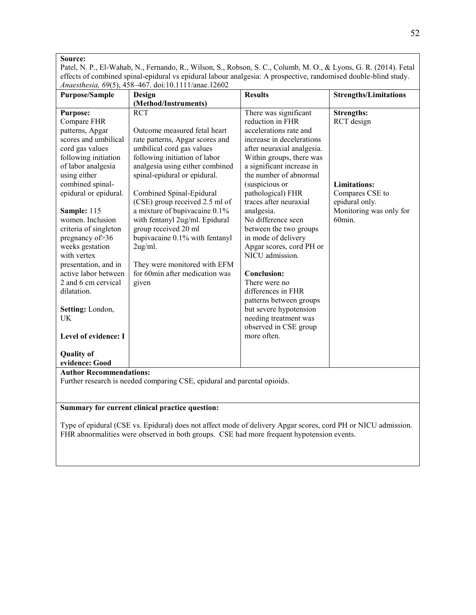Patel, N. P., El-Wahab, N., Fernando, R., Wilson, S., Robson, S. C., Columb, M. O., & Lyons, G. R. (2014). Fetal effects of combined spinal-epidural vs epidural labour analgesia: A prospective, randomised double-blind study. *Anaesthesia, 69*(5), 458–467. doi:10.1111/anae.12602

| <b>Purpose/Sample</b>          | Design                                                                   | <b>Results</b>             | <b>Strengths/Limitations</b> |  |
|--------------------------------|--------------------------------------------------------------------------|----------------------------|------------------------------|--|
|                                | (Method/Instruments)                                                     |                            |                              |  |
| <b>Purpose:</b>                | <b>RCT</b>                                                               | There was significant      | <b>Strengths:</b>            |  |
| Compare FHR                    |                                                                          | reduction in FHR           | RCT design                   |  |
| patterns, Apgar                | Outcome measured fetal heart                                             | accelerations rate and     |                              |  |
| scores and umbilical           | rate patterns, Apgar scores and                                          | increase in decelerations  |                              |  |
| cord gas values                | umbilical cord gas values                                                | after neuraxial analgesia. |                              |  |
| following initiation           | following initiation of labor                                            | Within groups, there was   |                              |  |
| of labor analgesia             | analgesia using either combined                                          | a significant increase in  |                              |  |
| using either                   | spinal-epidural or epidural.                                             | the number of abnormal     |                              |  |
| combined spinal-               |                                                                          | (suspicious or             | <b>Limitations:</b>          |  |
| epidural or epidural.          | Combined Spinal-Epidural                                                 | pathological) FHR          | Compares CSE to              |  |
|                                | (CSE) group received 2.5 ml of                                           | traces after neuraxial     | epidural only.               |  |
| Sample: 115                    | a mixture of bupivacaine 0.1%                                            | analgesia.                 | Monitoring was only for      |  |
| women. Inclusion               | with fentanyl 2ug/ml. Epidural                                           | No difference seen         | 60min.                       |  |
| criteria of singleton          | group received 20 ml                                                     | between the two groups     |                              |  |
| pregnancy of > 36              | bupivacaine 0.1% with fentanyl                                           | in mode of delivery        |                              |  |
| weeks gestation                | 2ug/ml.                                                                  | Apgar scores, cord PH or   |                              |  |
| with vertex                    |                                                                          | NICU admission.            |                              |  |
| presentation, and in           | They were monitored with EFM                                             |                            |                              |  |
| active labor between           | for 60min after medication was                                           | <b>Conclusion:</b>         |                              |  |
| 2 and 6 cm cervical            | given                                                                    | There were no              |                              |  |
| dilatation.                    |                                                                          | differences in FHR         |                              |  |
|                                |                                                                          | patterns between groups    |                              |  |
| Setting: London,               |                                                                          | but severe hypotension     |                              |  |
| UK                             |                                                                          | needing treatment was      |                              |  |
|                                |                                                                          | observed in CSE group      |                              |  |
| Level of evidence: I           |                                                                          | more often.                |                              |  |
|                                |                                                                          |                            |                              |  |
| <b>Quality of</b>              |                                                                          |                            |                              |  |
| evidence: Good                 |                                                                          |                            |                              |  |
| <b>Author Recommendations:</b> |                                                                          |                            |                              |  |
|                                | Further research is needed comparing CSE, epidural and parental opioids. |                            |                              |  |
|                                |                                                                          |                            |                              |  |
|                                |                                                                          |                            |                              |  |

#### **Summary for current clinical practice question:**

Type of epidural (CSE vs. Epidural) does not affect mode of delivery Apgar scores, cord PH or NICU admission. FHR abnormalities were observed in both groups. CSE had more frequent hypotension events.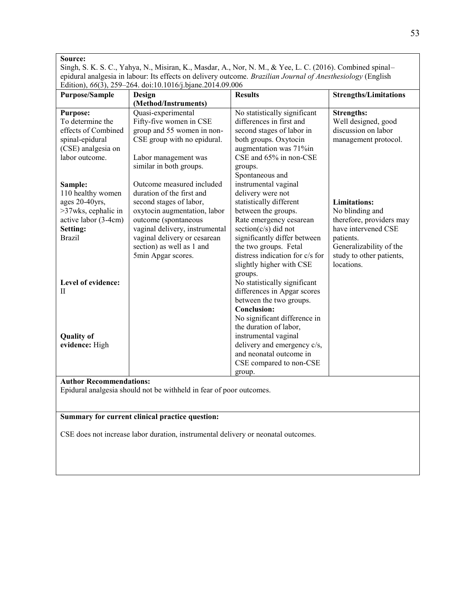Singh, S. K. S. C., Yahya, N., Misiran, K., Masdar, A., Nor, N. M., & Yee, L. C. (2016). Combined spinal– epidural analgesia in labour: Its effects on delivery outcome. *Brazilian Journal of Anesthesiology* (English Edition), *66*(3), 259–264. doi:10.1016/j.bjane.2014.09.006

| <b>Purpose/Sample</b>          | Design                         | <b>Results</b>                  | <b>Strengths/Limitations</b> |
|--------------------------------|--------------------------------|---------------------------------|------------------------------|
|                                | (Method/Instruments)           |                                 |                              |
| <b>Purpose:</b>                | Quasi-experimental             | No statistically significant    | <b>Strengths:</b>            |
| To determine the               | Fifty-five women in CSE        | differences in first and        | Well designed, good          |
| effects of Combined            | group and 55 women in non-     | second stages of labor in       | discussion on labor          |
| spinal-epidural                | CSE group with no epidural.    | both groups. Oxytocin           | management protocol.         |
| (CSE) analgesia on             |                                | augmentation was 71%in          |                              |
| labor outcome.                 | Labor management was           | CSE and 65% in non-CSE          |                              |
|                                | similar in both groups.        | groups.                         |                              |
|                                |                                | Spontaneous and                 |                              |
| Sample:                        | Outcome measured included      | instrumental vaginal            |                              |
| 110 healthy women              | duration of the first and      | delivery were not               |                              |
| ages 20-40yrs,                 | second stages of labor,        | statistically different         | Limitations:                 |
| >37wks, cephalic in            | oxytocin augmentation, labor   | between the groups.             | No blinding and              |
| active labor (3-4cm)           | outcome (spontaneous           | Rate emergency cesarean         | therefore, providers may     |
| Setting:                       | vaginal delivery, instrumental | section $(c/s)$ did not         | have intervened CSE          |
| <b>Brazil</b>                  | vaginal delivery or cesarean   | significantly differ between    | patients.                    |
|                                | section) as well as 1 and      | the two groups. Fetal           | Generalizability of the      |
|                                | 5min Apgar scores.             | distress indication for c/s for | study to other patients,     |
|                                |                                | slightly higher with CSE        | locations.                   |
|                                |                                | groups.                         |                              |
| Level of evidence:             |                                | No statistically significant    |                              |
| H                              |                                | differences in Apgar scores     |                              |
|                                |                                | between the two groups.         |                              |
|                                |                                | <b>Conclusion:</b>              |                              |
|                                |                                | No significant difference in    |                              |
|                                |                                | the duration of labor,          |                              |
| <b>Quality of</b>              |                                | instrumental vaginal            |                              |
| evidence: High                 |                                | delivery and emergency c/s,     |                              |
|                                |                                | and neonatal outcome in         |                              |
|                                |                                | CSE compared to non-CSE         |                              |
|                                |                                | group.                          |                              |
| <b>Author Recommendations:</b> |                                |                                 |                              |

Epidural analgesia should not be withheld in fear of poor outcomes.

#### **Summary for current clinical practice question:**

CSE does not increase labor duration, instrumental delivery or neonatal outcomes.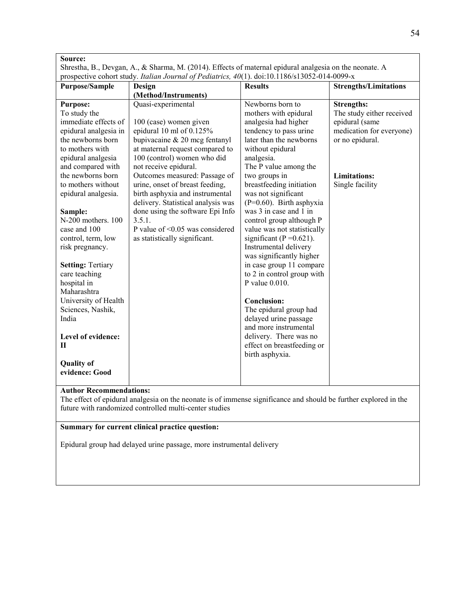|                                    | prospective cohort study. Italian Journal of Pediatrics, 40(1). doi:10.1186/s13052-014-0099-x |                                                             |                              |
|------------------------------------|-----------------------------------------------------------------------------------------------|-------------------------------------------------------------|------------------------------|
| <b>Purpose/Sample</b>              | <b>Design</b><br>(Method/Instruments)                                                         | <b>Results</b>                                              | <b>Strengths/Limitations</b> |
| <b>Purpose:</b>                    | Quasi-experimental                                                                            | Newborns born to                                            | <b>Strengths:</b>            |
| To study the                       |                                                                                               | mothers with epidural                                       | The study either received    |
| immediate effects of               | 100 (case) women given                                                                        | analgesia had higher                                        | epidural (same               |
| epidural analgesia in              | epidural 10 ml of 0.125%                                                                      | tendency to pass urine                                      | medication for everyone)     |
| the newborns born                  | bupivacaine $& 20$ mcg fentanyl                                                               | later than the newborns                                     | or no epidural.              |
| to mothers with                    | at maternal request compared to                                                               | without epidural                                            |                              |
| epidural analgesia                 | 100 (control) women who did                                                                   | analgesia.                                                  |                              |
| and compared with                  | not receive epidural.                                                                         | The P value among the                                       |                              |
| the newborns born                  | Outcomes measured: Passage of                                                                 | two groups in                                               | <b>Limitations:</b>          |
| to mothers without                 | urine, onset of breast feeding,                                                               | breastfeeding initiation                                    | Single facility              |
| epidural analgesia.                | birth asphyxia and instrumental                                                               | was not significant                                         |                              |
|                                    | delivery. Statistical analysis was                                                            | $(P=0.60)$ . Birth asphyxia                                 |                              |
| Sample:                            | done using the software Epi Info<br>3.5.1.                                                    | was 3 in case and 1 in                                      |                              |
| N-200 mothers. 100<br>case and 100 | P value of <0.05 was considered                                                               | control group although P                                    |                              |
| control, term, low                 | as statistically significant.                                                                 | value was not statistically<br>significant ( $P = 0.621$ ). |                              |
| risk pregnancy.                    |                                                                                               | Instrumental delivery                                       |                              |
|                                    |                                                                                               | was significantly higher                                    |                              |
| <b>Setting: Tertiary</b>           |                                                                                               | in case group 11 compare                                    |                              |
| care teaching                      |                                                                                               | to 2 in control group with                                  |                              |
| hospital in                        |                                                                                               | P value 0.010.                                              |                              |
| Maharashtra                        |                                                                                               |                                                             |                              |
| University of Health               |                                                                                               | <b>Conclusion:</b>                                          |                              |
| Sciences, Nashik,                  |                                                                                               | The epidural group had                                      |                              |
| India                              |                                                                                               | delayed urine passage                                       |                              |
|                                    |                                                                                               | and more instrumental                                       |                              |
| Level of evidence:                 |                                                                                               | delivery. There was no                                      |                              |
| Н                                  |                                                                                               | effect on breastfeeding or                                  |                              |
|                                    |                                                                                               | birth asphyxia.                                             |                              |
| <b>Quality of</b>                  |                                                                                               |                                                             |                              |
| evidence: Good                     |                                                                                               |                                                             |                              |

The effect of epidural analgesia on the neonate is of immense significance and should be further explored in the future with randomized controlled multi-center studies

# **Summary for current clinical practice question:**

Epidural group had delayed urine passage, more instrumental delivery

٦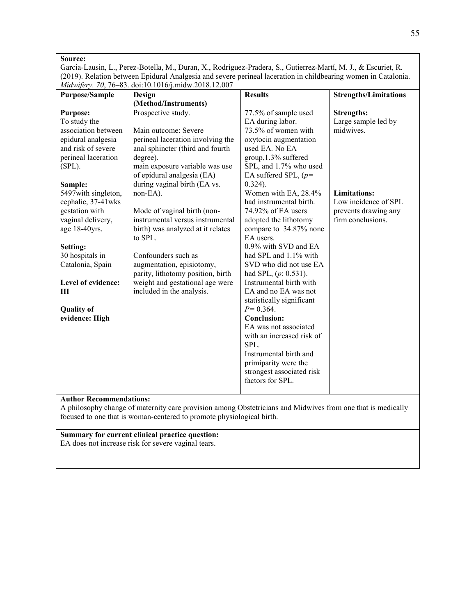Garcia-Lausin, L., Perez-Botella, M., Duran, X., Rodríguez-Pradera, S., Gutierrez-Martí, M. J., & Escuriet, R. (2019). Relation between Epidural Analgesia and severe perineal laceration in childbearing women in Catalonia. *Midwifery, 70*, 76–83. doi:10.1016/j.midw.2018.12.007

| <b>Purpose/Sample</b> | Design                            | <b>Results</b>            | <b>Strengths/Limitations</b> |
|-----------------------|-----------------------------------|---------------------------|------------------------------|
|                       | (Method/Instruments)              |                           |                              |
| <b>Purpose:</b>       | Prospective study.                | 77.5% of sample used      | <b>Strengths:</b>            |
| To study the          |                                   | EA during labor.          | Large sample led by          |
| association between   | Main outcome: Severe              | 73.5% of women with       | midwives.                    |
| epidural analgesia    | perineal laceration involving the | oxytocin augmentation     |                              |
| and risk of severe    | anal sphincter (third and fourth  | used EA. No EA            |                              |
| perineal laceration   | degree).                          | group, 1.3% suffered      |                              |
| $(SPL)$ .             | main exposure variable was use    | SPL, and 1.7% who used    |                              |
|                       | of epidural analgesia (EA)        | EA suffered SPL, $(p=$    |                              |
| Sample:               | during vaginal birth (EA vs.      | $0.324$ ).                |                              |
| 5497 with singleton,  | non-EA).                          | Women with EA, 28.4%      | <b>Limitations:</b>          |
| cephalic, 37-41wks    |                                   | had instrumental birth.   | Low incidence of SPL         |
| gestation with        | Mode of vaginal birth (non-       | 74.92% of EA users        | prevents drawing any         |
| vaginal delivery,     | instrumental versus instrumental  | adopted the lithotomy     | firm conclusions.            |
| age 18-40yrs.         | birth) was analyzed at it relates | compare to 34.87% none    |                              |
|                       | to SPL.                           | EA users.                 |                              |
| Setting:              |                                   | 0.9% with SVD and EA      |                              |
| 30 hospitals in       | Confounders such as               | had SPL and 1.1% with     |                              |
| Catalonia, Spain      | augmentation, episiotomy,         | SVD who did not use EA    |                              |
|                       | parity, lithotomy position, birth | had SPL, $(p: 0.531)$ .   |                              |
| Level of evidence:    | weight and gestational age were   | Instrumental birth with   |                              |
| Ш                     | included in the analysis.         | EA and no EA was not      |                              |
|                       |                                   | statistically significant |                              |
| <b>Quality of</b>     |                                   | $P = 0.364$ .             |                              |
| evidence: High        |                                   | <b>Conclusion:</b>        |                              |
|                       |                                   | EA was not associated     |                              |
|                       |                                   | with an increased risk of |                              |
|                       |                                   | SPL.                      |                              |
|                       |                                   | Instrumental birth and    |                              |
|                       |                                   | primiparity were the      |                              |
|                       |                                   | strongest associated risk |                              |
|                       |                                   | factors for SPL.          |                              |
|                       |                                   |                           |                              |

#### **Author Recommendations:**

A philosophy change of maternity care provision among Obstetricians and Midwives from one that is medically focused to one that is woman-centered to promote physiological birth.

#### **Summary for current clinical practice question:**

EA does not increase risk for severe vaginal tears.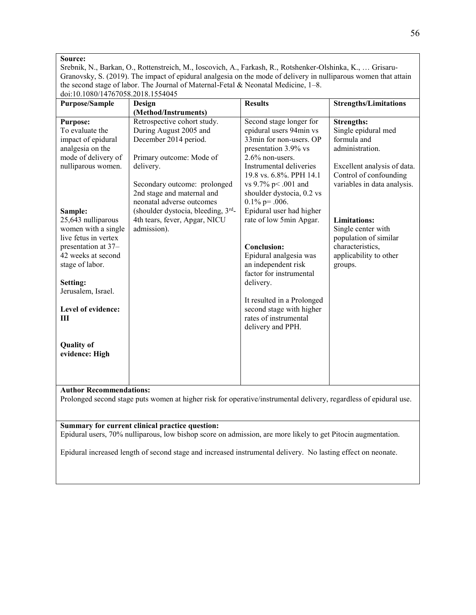Srebnik, N., Barkan, O., Rottenstreich, M., Ioscovich, A., Farkash, R., Rotshenker-Olshinka, K., … Grisaru-Granovsky, S. (2019). The impact of epidural analgesia on the mode of delivery in nulliparous women that attain the second stage of labor. The Journal of Maternal-Fetal & Neonatal Medicine, 1–8. doi:10.1080/14767058.2018.1554045

| 001.10.1000/14/0/030.2010.1334043                                                                                                                                                                                                                                                                                                                           |                                                                                                                                                                                                                                                                                                                                  |                                                                                                                                                                                                                                                                                                                                                                                                                                                                                                                                          |                                                                                                                                                                                                                                                                                                   |
|-------------------------------------------------------------------------------------------------------------------------------------------------------------------------------------------------------------------------------------------------------------------------------------------------------------------------------------------------------------|----------------------------------------------------------------------------------------------------------------------------------------------------------------------------------------------------------------------------------------------------------------------------------------------------------------------------------|------------------------------------------------------------------------------------------------------------------------------------------------------------------------------------------------------------------------------------------------------------------------------------------------------------------------------------------------------------------------------------------------------------------------------------------------------------------------------------------------------------------------------------------|---------------------------------------------------------------------------------------------------------------------------------------------------------------------------------------------------------------------------------------------------------------------------------------------------|
| <b>Purpose/Sample</b>                                                                                                                                                                                                                                                                                                                                       | Design                                                                                                                                                                                                                                                                                                                           | <b>Results</b>                                                                                                                                                                                                                                                                                                                                                                                                                                                                                                                           | <b>Strengths/Limitations</b>                                                                                                                                                                                                                                                                      |
|                                                                                                                                                                                                                                                                                                                                                             |                                                                                                                                                                                                                                                                                                                                  |                                                                                                                                                                                                                                                                                                                                                                                                                                                                                                                                          |                                                                                                                                                                                                                                                                                                   |
| <b>Purpose:</b><br>To evaluate the<br>impact of epidural<br>analgesia on the<br>mode of delivery of<br>nulliparous women.<br>Sample:<br>25,643 nulliparous<br>women with a single<br>live fetus in vertex<br>presentation at 37-<br>42 weeks at second<br>stage of labor.<br>Setting:<br>Jerusalem, Israel.<br>Level of evidence:<br>Ш<br><b>Quality of</b> | (Method/Instruments)<br>Retrospective cohort study.<br>During August 2005 and<br>December 2014 period.<br>Primary outcome: Mode of<br>delivery.<br>Secondary outcome: prolonged<br>2nd stage and maternal and<br>neonatal adverse outcomes<br>(shoulder dystocia, bleeding, 3rd-<br>4th tears, fever, Apgar, NICU<br>admission). | Second stage longer for<br>epidural users 94min vs<br>33min for non-users. OP<br>presentation 3.9% vs<br>$2.6\%$ non-users.<br>Instrumental deliveries<br>19.8 vs. 6.8%. PPH 14.1<br>vs 9.7% p < .001 and<br>shoulder dystocia, 0.2 vs<br>$0.1\%$ p= .006.<br>Epidural user had higher<br>rate of low 5min Apgar.<br><b>Conclusion:</b><br>Epidural analgesia was<br>an independent risk<br>factor for instrumental<br>delivery.<br>It resulted in a Prolonged<br>second stage with higher<br>rates of instrumental<br>delivery and PPH. | <b>Strengths:</b><br>Single epidural med<br>formula and<br>administration.<br>Excellent analysis of data.<br>Control of confounding<br>variables in data analysis.<br><b>Limitations:</b><br>Single center with<br>population of similar<br>characteristics,<br>applicability to other<br>groups. |
| evidence: High                                                                                                                                                                                                                                                                                                                                              |                                                                                                                                                                                                                                                                                                                                  |                                                                                                                                                                                                                                                                                                                                                                                                                                                                                                                                          |                                                                                                                                                                                                                                                                                                   |
|                                                                                                                                                                                                                                                                                                                                                             |                                                                                                                                                                                                                                                                                                                                  |                                                                                                                                                                                                                                                                                                                                                                                                                                                                                                                                          |                                                                                                                                                                                                                                                                                                   |
|                                                                                                                                                                                                                                                                                                                                                             |                                                                                                                                                                                                                                                                                                                                  |                                                                                                                                                                                                                                                                                                                                                                                                                                                                                                                                          |                                                                                                                                                                                                                                                                                                   |
|                                                                                                                                                                                                                                                                                                                                                             |                                                                                                                                                                                                                                                                                                                                  |                                                                                                                                                                                                                                                                                                                                                                                                                                                                                                                                          |                                                                                                                                                                                                                                                                                                   |

#### **Author Recommendations:**

Prolonged second stage puts women at higher risk for operative/instrumental delivery, regardless of epidural use.

#### **Summary for current clinical practice question:**

Epidural users, 70% nulliparous, low bishop score on admission, are more likely to get Pitocin augmentation.

Epidural increased length of second stage and increased instrumental delivery. No lasting effect on neonate.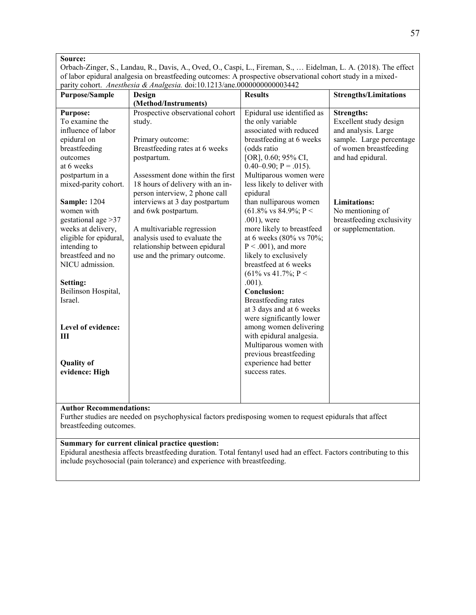Orbach-Zinger, S., Landau, R., Davis, A., Oved, O., Caspi, L., Fireman, S., … Eidelman, L. A. (2018). The effect of labor epidural analgesia on breastfeeding outcomes: A prospective observational cohort study in a mixedparity cohort. *Anesthesia & Analgesia.* doi:10.1213/ane.0000000000003442

| <b>Purpose/Sample</b>                                                                                                                                                                                                                                                                                                                                                                                                                                           | Design                                                                                                                                                                                                                                                                                                                                                                                                             | <b>Results</b>                                                                                                                                                                                                                                                                                                                                                                                                                                                                                                                                                                                                                                                                                                                                                                          | <b>Strengths/Limitations</b>                                                                                                                                                                                                                 |
|-----------------------------------------------------------------------------------------------------------------------------------------------------------------------------------------------------------------------------------------------------------------------------------------------------------------------------------------------------------------------------------------------------------------------------------------------------------------|--------------------------------------------------------------------------------------------------------------------------------------------------------------------------------------------------------------------------------------------------------------------------------------------------------------------------------------------------------------------------------------------------------------------|-----------------------------------------------------------------------------------------------------------------------------------------------------------------------------------------------------------------------------------------------------------------------------------------------------------------------------------------------------------------------------------------------------------------------------------------------------------------------------------------------------------------------------------------------------------------------------------------------------------------------------------------------------------------------------------------------------------------------------------------------------------------------------------------|----------------------------------------------------------------------------------------------------------------------------------------------------------------------------------------------------------------------------------------------|
|                                                                                                                                                                                                                                                                                                                                                                                                                                                                 | (Method/Instruments)                                                                                                                                                                                                                                                                                                                                                                                               |                                                                                                                                                                                                                                                                                                                                                                                                                                                                                                                                                                                                                                                                                                                                                                                         |                                                                                                                                                                                                                                              |
| <b>Purpose:</b><br>To examine the<br>influence of labor<br>epidural on<br>breastfeeding<br>outcomes<br>at 6 weeks<br>postpartum in a<br>mixed-parity cohort.<br><b>Sample: 1204</b><br>women with<br>gestational age $>37$<br>weeks at delivery,<br>eligible for epidural,<br>intending to<br>breastfeed and no<br>NICU admission.<br>Setting:<br>Beilinson Hospital,<br>Israel.<br>Level of evidence:<br>$\mathbf{III}$<br><b>Quality of</b><br>evidence: High | Prospective observational cohort<br>study.<br>Primary outcome:<br>Breastfeeding rates at 6 weeks<br>postpartum.<br>Assessment done within the first<br>18 hours of delivery with an in-<br>person interview, 2 phone call<br>interviews at 3 day postpartum<br>and 6wk postpartum.<br>A multivariable regression<br>analysis used to evaluate the<br>relationship between epidural<br>use and the primary outcome. | Epidural use identified as<br>the only variable<br>associated with reduced<br>breastfeeding at 6 weeks<br>(odds ratio<br>[OR], 0.60; 95% CI,<br>$0.40-0.90; P = .015$ ).<br>Multiparous women were<br>less likely to deliver with<br>epidural<br>than nulliparous women<br>$(61.8\% \text{ vs } 84.9\%; \text{ P}$<br>$.001$ ), were<br>more likely to breastfeed<br>at 6 weeks (80% vs 70%;<br>$P < .001$ , and more<br>likely to exclusively<br>breastfeed at 6 weeks<br>$(61\% \text{ vs } 41.7\%; \text{ P}$<br>$.001$ ).<br><b>Conclusion:</b><br>Breastfeeding rates<br>at 3 days and at 6 weeks<br>were significantly lower<br>among women delivering<br>with epidural analgesia.<br>Multiparous women with<br>previous breastfeeding<br>experience had better<br>success rates. | <b>Strengths:</b><br>Excellent study design<br>and analysis. Large<br>sample. Large percentage<br>of women breastfeeding<br>and had epidural.<br><b>Limitations:</b><br>No mentioning of<br>breastfeeding exclusivity<br>or supplementation. |
|                                                                                                                                                                                                                                                                                                                                                                                                                                                                 |                                                                                                                                                                                                                                                                                                                                                                                                                    |                                                                                                                                                                                                                                                                                                                                                                                                                                                                                                                                                                                                                                                                                                                                                                                         |                                                                                                                                                                                                                                              |
|                                                                                                                                                                                                                                                                                                                                                                                                                                                                 |                                                                                                                                                                                                                                                                                                                                                                                                                    |                                                                                                                                                                                                                                                                                                                                                                                                                                                                                                                                                                                                                                                                                                                                                                                         |                                                                                                                                                                                                                                              |

#### **Author Recommendations:**

Further studies are needed on psychophysical factors predisposing women to request epidurals that affect breastfeeding outcomes.

#### **Summary for current clinical practice question:**

Epidural anesthesia affects breastfeeding duration. Total fentanyl used had an effect. Factors contributing to this include psychosocial (pain tolerance) and experience with breastfeeding.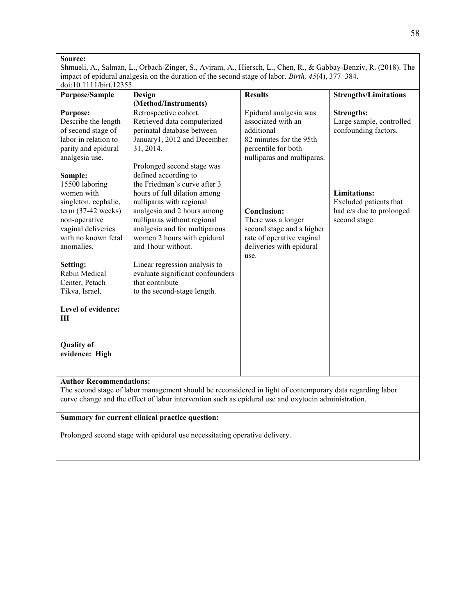Shmueli, A., Salman, L., Orbach-Zinger, S., Aviram, A., Hiersch, L., Chen, R., & Gabbay-Benziv, R. (2018). The impact of epidural analgesia on the duration of the second stage of labor. *Birth, 45*(4), 377–384. doi:10.1111/birt.12355

| <b>Purpose/Sample</b>                                                                                                                                               | Design                                                                                                                                                                                                                                                               | <b>Results</b>                                                                                                                             | <b>Strengths/Limitations</b>                                                               |
|---------------------------------------------------------------------------------------------------------------------------------------------------------------------|----------------------------------------------------------------------------------------------------------------------------------------------------------------------------------------------------------------------------------------------------------------------|--------------------------------------------------------------------------------------------------------------------------------------------|--------------------------------------------------------------------------------------------|
|                                                                                                                                                                     | (Method/Instruments)                                                                                                                                                                                                                                                 |                                                                                                                                            |                                                                                            |
| <b>Purpose:</b><br>Describe the length<br>of second stage of<br>labor in relation to<br>parity and epidural<br>analgesia use.                                       | Retrospective cohort.<br>Retrieved data computerized<br>perinatal database between<br>January1, 2012 and December<br>31, 2014.<br>Prolonged second stage was                                                                                                         | Epidural analgesia was<br>associated with an<br>additional<br>82 minutes for the 95th<br>percentile for both<br>nulliparas and multiparas. | <b>Strengths:</b><br>Large sample, controlled<br>confounding factors.                      |
| Sample:<br>15500 laboring<br>women with<br>singleton, cephalic,<br>$term (37-42 weeks)$<br>non-operative<br>vaginal deliveries<br>with no known fetal<br>anomalies. | defined according to<br>the Friedman's curve after 3<br>hours of full dilation among<br>nulliparas with regional<br>analgesia and 2 hours among<br>nulliparas without regional<br>analgesia and for multiparous<br>women 2 hours with epidural<br>and 1hour without. | <b>Conclusion:</b><br>There was a longer<br>second stage and a higher<br>rate of operative vaginal<br>deliveries with epidural<br>use.     | <b>Limitations:</b><br>Excluded patients that<br>had c/s due to prolonged<br>second stage. |
| Setting:<br>Rabin Medical<br>Center, Petach<br>Tikva, Israel.                                                                                                       | Linear regression analysis to<br>evaluate significant confounders<br>that contribute<br>to the second-stage length.                                                                                                                                                  |                                                                                                                                            |                                                                                            |
| Level of evidence:<br>Ш                                                                                                                                             |                                                                                                                                                                                                                                                                      |                                                                                                                                            |                                                                                            |
| <b>Quality of</b><br>evidence: High                                                                                                                                 |                                                                                                                                                                                                                                                                      |                                                                                                                                            |                                                                                            |
| <b>Author Recommendations:</b>                                                                                                                                      | The second stage of labor management should be reconsidered in light of contemporary data regarding labor                                                                                                                                                            |                                                                                                                                            |                                                                                            |

curve change and the effect of labor intervention such as epidural use and oxytocin administration.

#### **Summary for current clinical practice question:**

Prolonged second stage with epidural use necessitating operative delivery.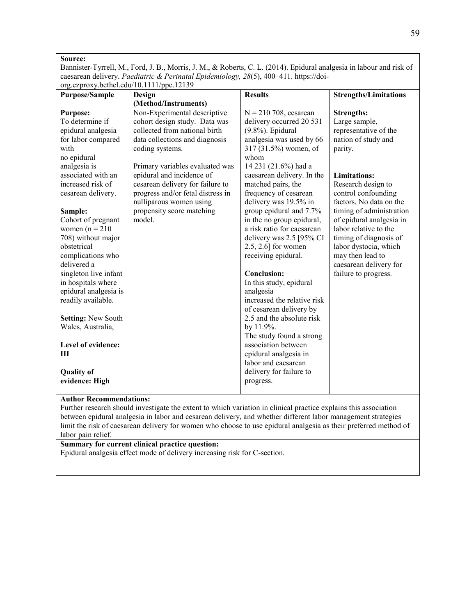Bannister-Tyrrell, M., Ford, J. B., Morris, J. M., & Roberts, C. L. (2014). Epidural analgesia in labour and risk of caesarean delivery. *Paediatric & Perinatal Epidemiology, 28*(5), 400–411. https://doiorg.ezproxy.bethel.edu/10.1111/ppe.12139

| <b>Purpose/Sample</b>     | Design                            | <b>Results</b>              | <b>Strengths/Limitations</b> |
|---------------------------|-----------------------------------|-----------------------------|------------------------------|
|                           | (Method/Instruments)              |                             |                              |
| <b>Purpose:</b>           | Non-Experimental descriptive      | $N = 210$ 708, cesarean     | <b>Strengths:</b>            |
| To determine if           | cohort design study. Data was     | delivery occurred 20 531    | Large sample,                |
| epidural analgesia        | collected from national birth     | $(9.8\%)$ . Epidural        | representative of the        |
| for labor compared        | data collections and diagnosis    | analgesia was used by 66    | nation of study and          |
| with                      | coding systems.                   | 317 (31.5%) women, of       | parity.                      |
| no epidural               |                                   | whom                        |                              |
| analgesia is              | Primary variables evaluated was   | 14 231 (21.6%) had a        |                              |
| associated with an        | epidural and incidence of         | caesarean delivery. In the  | <b>Limitations:</b>          |
| increased risk of         | cesarean delivery for failure to  | matched pairs, the          | Research design to           |
| cesarean delivery.        | progress and/or fetal distress in | frequency of cesarean       | control confounding          |
|                           | nulliparous women using           | delivery was 19.5% in       | factors. No data on the      |
| Sample:                   | propensity score matching         | group epidural and 7.7%     | timing of administration     |
| Cohort of pregnant        | model.                            | in the no group epidural,   | of epidural analgesia in     |
| women $(n = 210$          |                                   | a risk ratio for caesarean  | labor relative to the        |
| 708) without major        |                                   | delivery was 2.5 [95% CI    | timing of diagnosis of       |
| obstetrical               |                                   | $2.5, 2.6$ ] for women      | labor dystocia, which        |
| complications who         |                                   | receiving epidural.         | may then lead to             |
| delivered a               |                                   |                             | caesarean delivery for       |
| singleton live infant     |                                   | <b>Conclusion:</b>          | failure to progress.         |
| in hospitals where        |                                   | In this study, epidural     |                              |
| epidural analgesia is     |                                   | analgesia                   |                              |
| readily available.        |                                   | increased the relative risk |                              |
|                           |                                   | of cesarean delivery by     |                              |
| <b>Setting: New South</b> |                                   | 2.5 and the absolute risk   |                              |
| Wales, Australia,         |                                   | by 11.9%.                   |                              |
|                           |                                   | The study found a strong    |                              |
| Level of evidence:        |                                   | association between         |                              |
| III                       |                                   | epidural analgesia in       |                              |
|                           |                                   | labor and caesarean         |                              |
| <b>Quality of</b>         |                                   | delivery for failure to     |                              |
| evidence: High            |                                   | progress.                   |                              |
|                           |                                   |                             |                              |

#### **Author Recommendations:**

Further research should investigate the extent to which variation in clinical practice explains this association between epidural analgesia in labor and cesarean delivery, and whether different labor management strategies limit the risk of caesarean delivery for women who choose to use epidural analgesia as their preferred method of labor pain relief.

#### **Summary for current clinical practice question:**

Epidural analgesia effect mode of delivery increasing risk for C-section.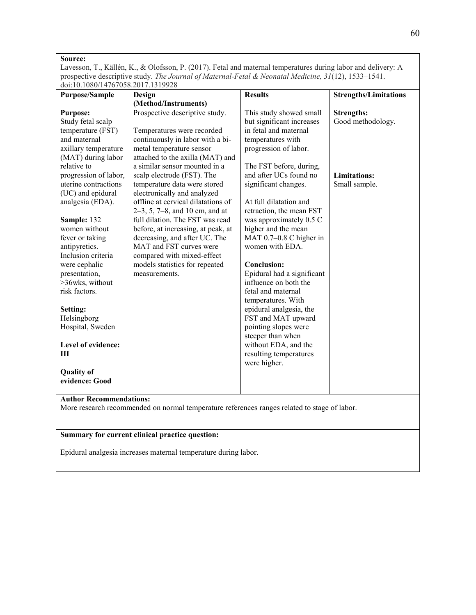Lavesson, T., Källén, K., & Olofsson, P. (2017). Fetal and maternal temperatures during labor and delivery: A prospective descriptive study. *The Journal of Maternal-Fetal & Neonatal Medicine, 31*(12), 1533–1541. doi:10.1080/14767058.2017.1319928

| <b>Purpose/Sample</b>                                                                                                                                                                                                                                                                                                                                                                                                                                                                           | Design                                                                                                                                                                                                                                                                                                                                                                                                                                                                                                                                                                                          | <b>Results</b>                                                                                                                                                                                                                                                                                                                                                                                                                                                                                                                                                                                                                                          | <b>Strengths/Limitations</b>                                                   |  |
|-------------------------------------------------------------------------------------------------------------------------------------------------------------------------------------------------------------------------------------------------------------------------------------------------------------------------------------------------------------------------------------------------------------------------------------------------------------------------------------------------|-------------------------------------------------------------------------------------------------------------------------------------------------------------------------------------------------------------------------------------------------------------------------------------------------------------------------------------------------------------------------------------------------------------------------------------------------------------------------------------------------------------------------------------------------------------------------------------------------|---------------------------------------------------------------------------------------------------------------------------------------------------------------------------------------------------------------------------------------------------------------------------------------------------------------------------------------------------------------------------------------------------------------------------------------------------------------------------------------------------------------------------------------------------------------------------------------------------------------------------------------------------------|--------------------------------------------------------------------------------|--|
|                                                                                                                                                                                                                                                                                                                                                                                                                                                                                                 | (Method/Instruments)                                                                                                                                                                                                                                                                                                                                                                                                                                                                                                                                                                            |                                                                                                                                                                                                                                                                                                                                                                                                                                                                                                                                                                                                                                                         |                                                                                |  |
| <b>Purpose:</b><br>Study fetal scalp<br>temperature (FST)<br>and maternal<br>axillary temperature<br>(MAT) during labor<br>relative to<br>progression of labor,<br>uterine contractions<br>(UC) and epidural<br>analgesia (EDA).<br>Sample: 132<br>women without<br>fever or taking<br>antipyretics.<br>Inclusion criteria<br>were cephalic<br>presentation,<br>>36wks, without<br>risk factors.<br>Setting:<br>Helsingborg<br>Hospital, Sweden<br>Level of evidence:<br>Ш<br><b>Quality of</b> | Prospective descriptive study.<br>Temperatures were recorded<br>continuously in labor with a bi-<br>metal temperature sensor<br>attached to the axilla (MAT) and<br>a similar sensor mounted in a<br>scalp electrode (FST). The<br>temperature data were stored<br>electronically and analyzed<br>offline at cervical dilatations of<br>$2-3$ , 5, 7-8, and 10 cm, and at<br>full dilation. The FST was read<br>before, at increasing, at peak, at<br>decreasing, and after UC. The<br>MAT and FST curves were<br>compared with mixed-effect<br>models statistics for repeated<br>measurements. | This study showed small<br>but significant increases<br>in fetal and maternal<br>temperatures with<br>progression of labor.<br>The FST before, during,<br>and after UCs found no<br>significant changes.<br>At full dilatation and<br>retraction, the mean FST<br>was approximately 0.5 C<br>higher and the mean<br>MAT 0.7-0.8 C higher in<br>women with EDA.<br><b>Conclusion:</b><br>Epidural had a significant<br>influence on both the<br>fetal and maternal<br>temperatures. With<br>epidural analgesia, the<br>FST and MAT upward<br>pointing slopes were<br>steeper than when<br>without EDA, and the<br>resulting temperatures<br>were higher. | <b>Strengths:</b><br>Good methodology.<br><b>Limitations:</b><br>Small sample. |  |
| evidence: Good                                                                                                                                                                                                                                                                                                                                                                                                                                                                                  |                                                                                                                                                                                                                                                                                                                                                                                                                                                                                                                                                                                                 |                                                                                                                                                                                                                                                                                                                                                                                                                                                                                                                                                                                                                                                         |                                                                                |  |
| <b>Author Recommendations:</b>                                                                                                                                                                                                                                                                                                                                                                                                                                                                  |                                                                                                                                                                                                                                                                                                                                                                                                                                                                                                                                                                                                 |                                                                                                                                                                                                                                                                                                                                                                                                                                                                                                                                                                                                                                                         |                                                                                |  |
|                                                                                                                                                                                                                                                                                                                                                                                                                                                                                                 | More research recommended on normal temperature references ranges related to stage of labor.                                                                                                                                                                                                                                                                                                                                                                                                                                                                                                    |                                                                                                                                                                                                                                                                                                                                                                                                                                                                                                                                                                                                                                                         |                                                                                |  |
|                                                                                                                                                                                                                                                                                                                                                                                                                                                                                                 |                                                                                                                                                                                                                                                                                                                                                                                                                                                                                                                                                                                                 |                                                                                                                                                                                                                                                                                                                                                                                                                                                                                                                                                                                                                                                         |                                                                                |  |
|                                                                                                                                                                                                                                                                                                                                                                                                                                                                                                 |                                                                                                                                                                                                                                                                                                                                                                                                                                                                                                                                                                                                 |                                                                                                                                                                                                                                                                                                                                                                                                                                                                                                                                                                                                                                                         |                                                                                |  |

**Summary for current clinical practice question:** 

Epidural analgesia increases maternal temperature during labor.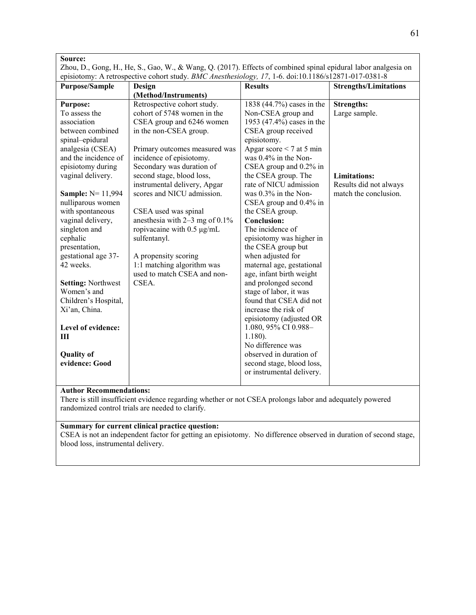| Source:                                                                                                                                                                                                                |                                                            |                                                   |                                    |  |
|------------------------------------------------------------------------------------------------------------------------------------------------------------------------------------------------------------------------|------------------------------------------------------------|---------------------------------------------------|------------------------------------|--|
| Zhou, D., Gong, H., He, S., Gao, W., & Wang, Q. (2017). Effects of combined spinal epidural labor analgesia on<br>episiotomy: A retrospective cohort study. BMC Anesthesiology, 17, 1-6. doi:10.1186/s12871-017-0381-8 |                                                            |                                                   |                                    |  |
| <b>Purpose/Sample</b>                                                                                                                                                                                                  | Design                                                     | <b>Results</b>                                    | <b>Strengths/Limitations</b>       |  |
|                                                                                                                                                                                                                        | (Method/Instruments)                                       |                                                   |                                    |  |
| <b>Purpose:</b><br>To assess the                                                                                                                                                                                       | Retrospective cohort study.<br>cohort of 5748 women in the | 1838 (44.7%) cases in the<br>Non-CSEA group and   | <b>Strengths:</b><br>Large sample. |  |
| association                                                                                                                                                                                                            | CSEA group and 6246 women                                  | 1953 (47.4%) cases in the                         |                                    |  |
| between combined                                                                                                                                                                                                       | in the non-CSEA group.                                     | CSEA group received                               |                                    |  |
| spinal-epidural<br>analgesia (CSEA)                                                                                                                                                                                    | Primary outcomes measured was                              | episiotomy.<br>Apgar score $\leq 7$ at 5 min      |                                    |  |
| and the incidence of                                                                                                                                                                                                   | incidence of episiotomy.                                   | was 0.4% in the Non-                              |                                    |  |
| episiotomy during                                                                                                                                                                                                      | Secondary was duration of                                  | CSEA group and $0.2\%$ in                         |                                    |  |
| vaginal delivery.                                                                                                                                                                                                      | second stage, blood loss,                                  | the CSEA group. The                               | <b>Limitations:</b>                |  |
|                                                                                                                                                                                                                        | instrumental delivery, Apgar                               | rate of NICU admission                            | Results did not always             |  |
| <b>Sample: N= 11,994</b>                                                                                                                                                                                               | scores and NICU admission.                                 | was 0.3% in the Non-                              | match the conclusion.              |  |
| nulliparous women                                                                                                                                                                                                      |                                                            | CSEA group and 0.4% in                            |                                    |  |
| with spontaneous                                                                                                                                                                                                       | CSEA used was spinal                                       | the CSEA group.                                   |                                    |  |
| vaginal delivery,                                                                                                                                                                                                      | anesthesia with $2-3$ mg of $0.1\%$                        | <b>Conclusion:</b>                                |                                    |  |
| singleton and                                                                                                                                                                                                          | ropivacaine with $0.5 \mu g/mL$                            | The incidence of                                  |                                    |  |
| cephalic                                                                                                                                                                                                               | sulfentanyl.                                               | episiotomy was higher in                          |                                    |  |
| presentation,                                                                                                                                                                                                          |                                                            | the CSEA group but                                |                                    |  |
| gestational age 37-                                                                                                                                                                                                    | A propensity scoring                                       | when adjusted for                                 |                                    |  |
| 42 weeks.                                                                                                                                                                                                              | 1:1 matching algorithm was                                 | maternal age, gestational                         |                                    |  |
|                                                                                                                                                                                                                        | used to match CSEA and non-                                | age, infant birth weight                          |                                    |  |
| <b>Setting: Northwest</b>                                                                                                                                                                                              | CSEA.                                                      | and prolonged second                              |                                    |  |
| Women's and                                                                                                                                                                                                            |                                                            | stage of labor, it was<br>found that CSEA did not |                                    |  |
| Children's Hospital,<br>Xi'an, China.                                                                                                                                                                                  |                                                            | increase the risk of                              |                                    |  |
|                                                                                                                                                                                                                        |                                                            | episiotomy (adjusted OR                           |                                    |  |
| Level of evidence:                                                                                                                                                                                                     |                                                            | 1.080, 95% CI 0.988-                              |                                    |  |
| III                                                                                                                                                                                                                    |                                                            | $1.180$ ).                                        |                                    |  |
|                                                                                                                                                                                                                        |                                                            | No difference was                                 |                                    |  |
| <b>Quality of</b>                                                                                                                                                                                                      |                                                            | observed in duration of                           |                                    |  |
| evidence: Good                                                                                                                                                                                                         |                                                            | second stage, blood loss,                         |                                    |  |
|                                                                                                                                                                                                                        |                                                            | or instrumental delivery.                         |                                    |  |
|                                                                                                                                                                                                                        |                                                            |                                                   |                                    |  |

#### **Author Recommendations:**

There is still insufficient evidence regarding whether or not CSEA prolongs labor and adequately powered randomized control trials are needed to clarify.

# **Summary for current clinical practice question:**

CSEA is not an independent factor for getting an episiotomy. No difference observed in duration of second stage, blood loss, instrumental delivery.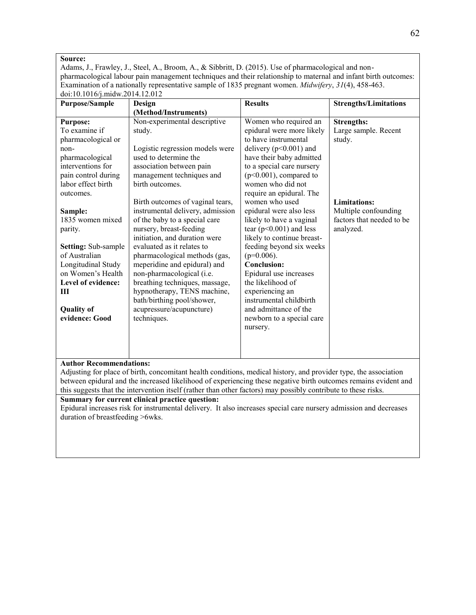Adams, J., Frawley, J., Steel, A., Broom, A., & Sibbritt, D. (2015). Use of pharmacological and nonpharmacological labour pain management techniques and their relationship to maternal and infant birth outcomes: Examination of a nationally representative sample of 1835 pregnant women. *Midwifery*, *31*(4), 458-463. doi:10.1016/j.midw.2014.12.012

| $\frac{1}{2}$<br><b>Purpose/Sample</b>                                                                                                                                                                                                                                                                                                                                 | Design                                                                                                                                                                                                                                                                                                                                                                                                                                                                                                                                                                                                                    | <b>Results</b>                                                                                                                                                                                                                                                                                                                                                                                                                                                                                                                                                                                                   | <b>Strengths/Limitations</b>                                                                                                          |
|------------------------------------------------------------------------------------------------------------------------------------------------------------------------------------------------------------------------------------------------------------------------------------------------------------------------------------------------------------------------|---------------------------------------------------------------------------------------------------------------------------------------------------------------------------------------------------------------------------------------------------------------------------------------------------------------------------------------------------------------------------------------------------------------------------------------------------------------------------------------------------------------------------------------------------------------------------------------------------------------------------|------------------------------------------------------------------------------------------------------------------------------------------------------------------------------------------------------------------------------------------------------------------------------------------------------------------------------------------------------------------------------------------------------------------------------------------------------------------------------------------------------------------------------------------------------------------------------------------------------------------|---------------------------------------------------------------------------------------------------------------------------------------|
|                                                                                                                                                                                                                                                                                                                                                                        | (Method/Instruments)                                                                                                                                                                                                                                                                                                                                                                                                                                                                                                                                                                                                      |                                                                                                                                                                                                                                                                                                                                                                                                                                                                                                                                                                                                                  |                                                                                                                                       |
| <b>Purpose:</b><br>To examine if<br>pharmacological or<br>non-<br>pharmacological<br>interventions for<br>pain control during<br>labor effect birth<br>outcomes.<br>Sample:<br>1835 women mixed<br>parity.<br><b>Setting:</b> Sub-sample<br>of Australian<br>Longitudinal Study<br>on Women's Health<br>Level of evidence:<br>Ш<br><b>Quality of</b><br>evidence: Good | Non-experimental descriptive<br>study.<br>Logistic regression models were<br>used to determine the<br>association between pain<br>management techniques and<br>birth outcomes.<br>Birth outcomes of vaginal tears,<br>instrumental delivery, admission<br>of the baby to a special care<br>nursery, breast-feeding<br>initiation, and duration were<br>evaluated as it relates to<br>pharmacological methods (gas,<br>meperidine and epidural) and<br>non-pharmacological (i.e.<br>breathing techniques, massage,<br>hypnotherapy, TENS machine,<br>bath/birthing pool/shower,<br>acupressure/acupuncture)<br>techniques. | Women who required an<br>epidural were more likely<br>to have instrumental<br>delivery ( $p<0.001$ ) and<br>have their baby admitted<br>to a special care nursery<br>$(p<0.001)$ , compared to<br>women who did not<br>require an epidural. The<br>women who used<br>epidural were also less<br>likely to have a vaginal<br>tear ( $p<0.001$ ) and less<br>likely to continue breast-<br>feeding beyond six weeks<br>$(p=0.006)$ .<br>Conclusion:<br>Epidural use increases<br>the likelihood of<br>experiencing an<br>instrumental childbirth<br>and admittance of the<br>newborn to a special care<br>nursery. | <b>Strengths:</b><br>Large sample. Recent<br>study.<br>Limitations:<br>Multiple confounding<br>factors that needed to be<br>analyzed. |
|                                                                                                                                                                                                                                                                                                                                                                        |                                                                                                                                                                                                                                                                                                                                                                                                                                                                                                                                                                                                                           |                                                                                                                                                                                                                                                                                                                                                                                                                                                                                                                                                                                                                  |                                                                                                                                       |

#### **Author Recommendations:**

Adjusting for place of birth, concomitant health conditions, medical history, and provider type, the association between epidural and the increased likelihood of experiencing these negative birth outcomes remains evident and this suggests that the intervention itself (rather than other factors) may possibly contribute to these risks.

#### **Summary for current clinical practice question:**

Epidural increases risk for instrumental delivery. It also increases special care nursery admission and decreases duration of breastfeeding >6wks.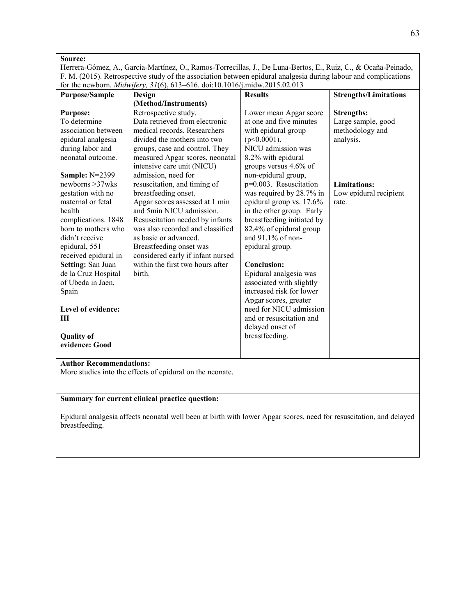Herrera-Gómez, A., García-Martínez, O., Ramos-Torrecillas, J., De Luna-Bertos, E., Ruiz, C., & Ocaña-Peinado, F. M. (2015). Retrospective study of the association between epidural analgesia during labour and complications for the newborn. *Midwifery, 31*(6), 613–616. doi:10.1016/j.midw.2015.02.013

| <b>Purpose/Sample</b>                                                                                                                                                                                                                                                                                                                                                                                                                                                                                                                                                                                      | Design                                                                                                                                                                                                                                                                                                                                                                                                                                                                                                                                                                               | <b>Results</b>                                                                                                                                                                                                                                                                                                                                                                                                                                                                                                                                                                                                                       | <b>Strengths/Limitations</b>                                                                                                      |  |
|------------------------------------------------------------------------------------------------------------------------------------------------------------------------------------------------------------------------------------------------------------------------------------------------------------------------------------------------------------------------------------------------------------------------------------------------------------------------------------------------------------------------------------------------------------------------------------------------------------|--------------------------------------------------------------------------------------------------------------------------------------------------------------------------------------------------------------------------------------------------------------------------------------------------------------------------------------------------------------------------------------------------------------------------------------------------------------------------------------------------------------------------------------------------------------------------------------|--------------------------------------------------------------------------------------------------------------------------------------------------------------------------------------------------------------------------------------------------------------------------------------------------------------------------------------------------------------------------------------------------------------------------------------------------------------------------------------------------------------------------------------------------------------------------------------------------------------------------------------|-----------------------------------------------------------------------------------------------------------------------------------|--|
|                                                                                                                                                                                                                                                                                                                                                                                                                                                                                                                                                                                                            | (Method/Instruments)                                                                                                                                                                                                                                                                                                                                                                                                                                                                                                                                                                 |                                                                                                                                                                                                                                                                                                                                                                                                                                                                                                                                                                                                                                      |                                                                                                                                   |  |
| <b>Purpose:</b><br>To determine<br>association between<br>epidural analgesia<br>during labor and<br>neonatal outcome.<br><b>Sample: N=2399</b><br>newborns $>37$ wks<br>gestation with no<br>maternal or fetal<br>health<br>complications. 1848<br>born to mothers who<br>didn't receive<br>epidural, 551<br>received epidural in<br>Setting: San Juan<br>de la Cruz Hospital<br>of Ubeda in Jaen,<br>Spain<br>Level of evidence:<br>$\mathbf{H}$<br><b>Quality of</b><br>evidence: Good                                                                                                                   | Retrospective study.<br>Data retrieved from electronic<br>medical records. Researchers<br>divided the mothers into two<br>groups, case and control. They<br>measured Apgar scores, neonatal<br>intensive care unit (NICU)<br>admission, need for<br>resuscitation, and timing of<br>breastfeeding onset.<br>Apgar scores assessed at 1 min<br>and 5min NICU admission.<br>Resuscitation needed by infants<br>was also recorded and classified<br>as basic or advanced.<br>Breastfeeding onset was<br>considered early if infant nursed<br>within the first two hours after<br>birth. | Lower mean Apgar score<br>at one and five minutes<br>with epidural group<br>$(p<0.0001)$ .<br>NICU admission was<br>8.2% with epidural<br>groups versus 4.6% of<br>non-epidural group,<br>p=0.003. Resuscitation<br>was required by 28.7% in<br>epidural group vs. 17.6%<br>in the other group. Early<br>breastfeeding initiated by<br>82.4% of epidural group<br>and 91.1% of non-<br>epidural group.<br><b>Conclusion:</b><br>Epidural analgesia was<br>associated with slightly<br>increased risk for lower<br>Apgar scores, greater<br>need for NICU admission<br>and or resuscitation and<br>delayed onset of<br>breastfeeding. | <b>Strengths:</b><br>Large sample, good<br>methodology and<br>analysis.<br><b>Limitations:</b><br>Low epidural recipient<br>rate. |  |
| <b>Author Recommendations:</b><br>More studies into the effects of epidural on the neonate.                                                                                                                                                                                                                                                                                                                                                                                                                                                                                                                |                                                                                                                                                                                                                                                                                                                                                                                                                                                                                                                                                                                      |                                                                                                                                                                                                                                                                                                                                                                                                                                                                                                                                                                                                                                      |                                                                                                                                   |  |
| Summary for current clinical practice question:                                                                                                                                                                                                                                                                                                                                                                                                                                                                                                                                                            |                                                                                                                                                                                                                                                                                                                                                                                                                                                                                                                                                                                      |                                                                                                                                                                                                                                                                                                                                                                                                                                                                                                                                                                                                                                      |                                                                                                                                   |  |
| $\mathbf{r}$ $\mathbf{r}$ $\mathbf{r}$ $\mathbf{r}$ $\mathbf{r}$ $\mathbf{r}$ $\mathbf{r}$ $\mathbf{r}$ $\mathbf{r}$ $\mathbf{r}$ $\mathbf{r}$ $\mathbf{r}$ $\mathbf{r}$ $\mathbf{r}$ $\mathbf{r}$ $\mathbf{r}$ $\mathbf{r}$ $\mathbf{r}$ $\mathbf{r}$ $\mathbf{r}$ $\mathbf{r}$ $\mathbf{r}$ $\mathbf{r}$ $\mathbf{r}$ $\mathbf{$<br>$-1$ $-1$ $-1$ $-1$ $-1$<br>contract the contract of the contract of the contract of the contract of the contract of the contract of the contract of the contract of the contract of the contract of the contract of the contract of the contract of the c<br>$\sim$ |                                                                                                                                                                                                                                                                                                                                                                                                                                                                                                                                                                                      |                                                                                                                                                                                                                                                                                                                                                                                                                                                                                                                                                                                                                                      |                                                                                                                                   |  |

Epidural analgesia affects neonatal well been at birth with lower Apgar scores, need for resuscitation, and delayed breastfeeding.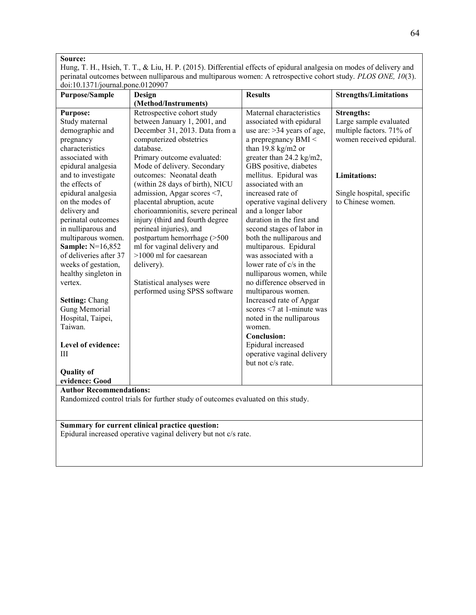Hung, T. H., Hsieh, T. T., & Liu, H. P. (2015). Differential effects of epidural analgesia on modes of delivery and perinatal outcomes between nulliparous and multiparous women: A retrospective cohort study. *PLOS ONE, 10*(3). doi:10.1371/journal.pone.0120907

| <b>Purpose/Sample</b>                                                                                                                                                                                                                                                                                                                                                                                                                                                                                                                     | Design                                                                                                                                                                                                                                                                                                                                                                                                                                                                                                                                                                                                 | <b>Results</b>                                                                                                                                                                                                                                                                                                                                                                                                                                                                                                                                                                                                                                                                                                                                                                    | <b>Strengths/Limitations</b>                                                                                                                                                 |  |
|-------------------------------------------------------------------------------------------------------------------------------------------------------------------------------------------------------------------------------------------------------------------------------------------------------------------------------------------------------------------------------------------------------------------------------------------------------------------------------------------------------------------------------------------|--------------------------------------------------------------------------------------------------------------------------------------------------------------------------------------------------------------------------------------------------------------------------------------------------------------------------------------------------------------------------------------------------------------------------------------------------------------------------------------------------------------------------------------------------------------------------------------------------------|-----------------------------------------------------------------------------------------------------------------------------------------------------------------------------------------------------------------------------------------------------------------------------------------------------------------------------------------------------------------------------------------------------------------------------------------------------------------------------------------------------------------------------------------------------------------------------------------------------------------------------------------------------------------------------------------------------------------------------------------------------------------------------------|------------------------------------------------------------------------------------------------------------------------------------------------------------------------------|--|
|                                                                                                                                                                                                                                                                                                                                                                                                                                                                                                                                           | (Method/Instruments)                                                                                                                                                                                                                                                                                                                                                                                                                                                                                                                                                                                   |                                                                                                                                                                                                                                                                                                                                                                                                                                                                                                                                                                                                                                                                                                                                                                                   |                                                                                                                                                                              |  |
| <b>Purpose:</b><br>Study maternal<br>demographic and<br>pregnancy<br>characteristics<br>associated with<br>epidural analgesia<br>and to investigate<br>the effects of<br>epidural analgesia<br>on the modes of<br>delivery and<br>perinatal outcomes<br>in nulliparous and<br>multiparous women.<br>Sample: N=16,852<br>of deliveries after 37<br>weeks of gestation,<br>healthy singleton in<br>vertex.<br><b>Setting: Chang</b><br><b>Gung Memorial</b><br>Hospital, Taipei,<br>Taiwan.<br>Level of evidence:<br>Ш<br><b>Quality of</b> | Retrospective cohort study<br>between January 1, 2001, and<br>December 31, 2013. Data from a<br>computerized obstetrics<br>database.<br>Primary outcome evaluated:<br>Mode of delivery. Secondary<br>outcomes: Neonatal death<br>(within 28 days of birth), NICU<br>admission, Apgar scores <7,<br>placental abruption, acute<br>chorioamnionitis, severe perineal<br>injury (third and fourth degree<br>perineal injuries), and<br>postpartum hemorrhage (>500<br>ml for vaginal delivery and<br>$>1000$ ml for caesarean<br>delivery).<br>Statistical analyses were<br>performed using SPSS software | Maternal characteristics<br>associated with epidural<br>use are: $>34$ years of age,<br>a prepregnancy BMI <<br>than $19.8 \text{ kg/m2}$ or<br>greater than 24.2 kg/m2,<br>GBS positive, diabetes<br>mellitus. Epidural was<br>associated with an<br>increased rate of<br>operative vaginal delivery<br>and a longer labor<br>duration in the first and<br>second stages of labor in<br>both the nulliparous and<br>multiparous. Epidural<br>was associated with a<br>lower rate of c/s in the<br>nulliparous women, while<br>no difference observed in<br>multiparous women.<br>Increased rate of Apgar<br>scores $\leq 7$ at 1-minute was<br>noted in the nulliparous<br>women.<br><b>Conclusion:</b><br>Epidural increased<br>operative vaginal delivery<br>but not c/s rate. | <b>Strengths:</b><br>Large sample evaluated<br>multiple factors. 71% of<br>women received epidural.<br><b>Limitations:</b><br>Single hospital, specific<br>to Chinese women. |  |
| evidence: Good<br><b>Author Recommendations:</b>                                                                                                                                                                                                                                                                                                                                                                                                                                                                                          |                                                                                                                                                                                                                                                                                                                                                                                                                                                                                                                                                                                                        |                                                                                                                                                                                                                                                                                                                                                                                                                                                                                                                                                                                                                                                                                                                                                                                   |                                                                                                                                                                              |  |
| Randomized control trials for further study of outcomes evaluated on this study.                                                                                                                                                                                                                                                                                                                                                                                                                                                          |                                                                                                                                                                                                                                                                                                                                                                                                                                                                                                                                                                                                        |                                                                                                                                                                                                                                                                                                                                                                                                                                                                                                                                                                                                                                                                                                                                                                                   |                                                                                                                                                                              |  |
| Summary for current clinical practice question:<br>Epidural increased operative vaginal delivery but not c/s rate.                                                                                                                                                                                                                                                                                                                                                                                                                        |                                                                                                                                                                                                                                                                                                                                                                                                                                                                                                                                                                                                        |                                                                                                                                                                                                                                                                                                                                                                                                                                                                                                                                                                                                                                                                                                                                                                                   |                                                                                                                                                                              |  |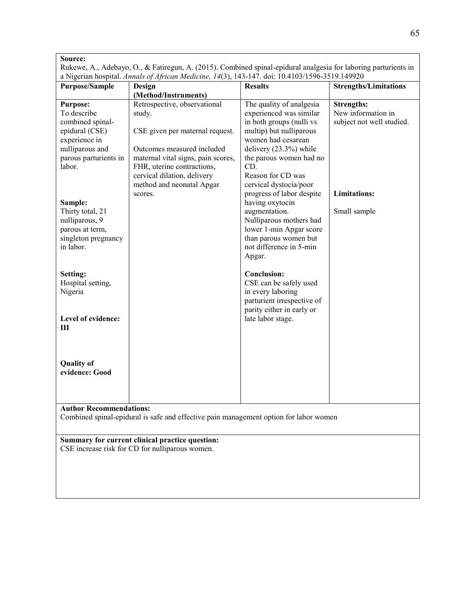| <b>Purpose/Sample</b>                                                                                                             | Design<br>(Method/Instruments)                                                                                                                | <b>Results</b>                                                                                                                                                                          | <b>Strengths/Limitations</b>                                         |
|-----------------------------------------------------------------------------------------------------------------------------------|-----------------------------------------------------------------------------------------------------------------------------------------------|-----------------------------------------------------------------------------------------------------------------------------------------------------------------------------------------|----------------------------------------------------------------------|
| <b>Purpose:</b><br>To describe<br>combined spinal-<br>epidural (CSE)<br>experience in<br>nulliparous and<br>parous parturients in | Retrospective, observational<br>study.<br>CSE given per maternal request.<br>Outcomes measured included<br>maternal vital signs, pain scores, | The quality of analgesia<br>experienced was similar<br>in both groups (nulli vs<br>multip) but nulliparous<br>women had cesarean<br>delivery $(23.3%)$ while<br>the parous women had no | <b>Strengths:</b><br>New information in<br>subject not well studied. |
| labor.                                                                                                                            | FHR, uterine contractions,<br>cervical dilation, delivery<br>method and neonatal Apgar<br>scores.                                             | CD.<br>Reason for CD was<br>cervical dystocia/poor<br>progress of labor despite                                                                                                         | <b>Limitations:</b>                                                  |
| Sample:<br>Thirty total, 21<br>nulliparous, 9<br>parous at term,<br>singleton pregnancy<br>in labor.                              |                                                                                                                                               | having oxytocin<br>augmentation.<br>Nulliparous mothers had<br>lower 1-min Apgar score<br>than parous women but<br>not difference in 5-min<br>Apgar.                                    | Small sample                                                         |
| Setting:<br>Hospital setting,<br>Nigeria<br>Level of evidence:                                                                    |                                                                                                                                               | <b>Conclusion:</b><br>CSE can be safely used<br>in every laboring<br>parturient irrespective of<br>parity either in early or<br>late labor stage.                                       |                                                                      |
| Ш                                                                                                                                 |                                                                                                                                               |                                                                                                                                                                                         |                                                                      |
| <b>Quality of</b><br>evidence: Good                                                                                               |                                                                                                                                               |                                                                                                                                                                                         |                                                                      |
| <b>Author Recommendations:</b>                                                                                                    | Combined spinal-epidural is safe and effective pain management option for labor women                                                         |                                                                                                                                                                                         |                                                                      |
|                                                                                                                                   | Summary for current clinical practice question:<br>CSE increase risk for CD for nulliparous women.                                            |                                                                                                                                                                                         |                                                                      |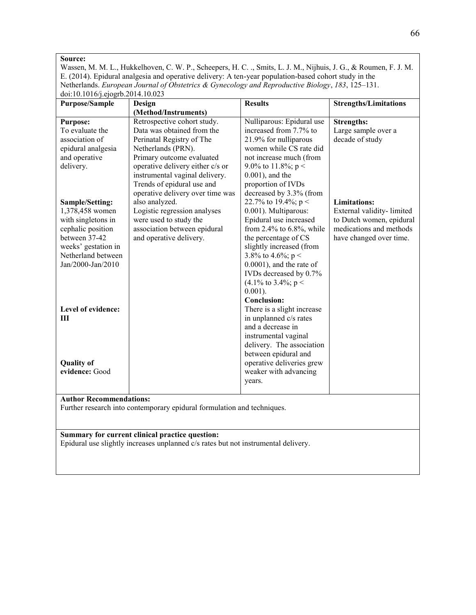Wassen, M. M. L., Hukkelhoven, C. W. P., Scheepers, H. C. ., Smits, L. J. M., Nijhuis, J. G., & Roumen, F. J. M. E. (2014). Epidural analgesia and operative delivery: A ten-year population-based cohort study in the Netherlands. *European Journal of Obstetrics & Gynecology and Reproductive Biology*, *183*, 125–131.  $\frac{1}{100}$  doi:10.1016/j.ejogrb.2014.10.023

| $0.1010100$ , $0.00000$                                                 |                                                                                    |                                       |                              |  |
|-------------------------------------------------------------------------|------------------------------------------------------------------------------------|---------------------------------------|------------------------------|--|
| <b>Purpose/Sample</b>                                                   | Design                                                                             | <b>Results</b>                        | <b>Strengths/Limitations</b> |  |
|                                                                         | (Method/Instruments)                                                               |                                       |                              |  |
| <b>Purpose:</b>                                                         | Retrospective cohort study.                                                        | Nulliparous: Epidural use             | <b>Strengths:</b>            |  |
| To evaluate the                                                         | Data was obtained from the                                                         | increased from 7.7% to                | Large sample over a          |  |
| association of                                                          | Perinatal Registry of The                                                          | 21.9% for nulliparous                 | decade of study              |  |
| epidural analgesia                                                      | Netherlands (PRN).                                                                 | women while CS rate did               |                              |  |
| and operative                                                           | Primary outcome evaluated                                                          | not increase much (from               |                              |  |
| delivery.                                                               | operative delivery either c/s or                                                   | 9.0% to 11.8%; $p <$                  |                              |  |
|                                                                         | instrumental vaginal delivery.                                                     | $0.001$ ), and the                    |                              |  |
|                                                                         | Trends of epidural use and                                                         | proportion of IVDs                    |                              |  |
|                                                                         | operative delivery over time was                                                   | decreased by 3.3% (from               |                              |  |
| Sample/Setting:                                                         | also analyzed.                                                                     | 22.7% to 19.4%; $p <$                 | <b>Limitations:</b>          |  |
| 1,378,458 women                                                         | Logistic regression analyses                                                       | 0.001). Multiparous:                  | External validity-limited    |  |
| with singletons in                                                      | were used to study the                                                             | Epidural use increased                | to Dutch women, epidural     |  |
| cephalic position                                                       | association between epidural                                                       | from 2.4% to $6.8\%$ , while          | medications and methods      |  |
| between 37-42                                                           | and operative delivery.                                                            | the percentage of CS                  | have changed over time.      |  |
| weeks' gestation in                                                     |                                                                                    | slightly increased (from              |                              |  |
| Netherland between                                                      |                                                                                    | 3.8% to 4.6%; $p <$                   |                              |  |
| Jan/2000-Jan/2010                                                       |                                                                                    | $0.0001$ ), and the rate of           |                              |  |
|                                                                         |                                                                                    | IVDs decreased by 0.7%                |                              |  |
|                                                                         |                                                                                    |                                       |                              |  |
|                                                                         |                                                                                    | $(4.1\% \text{ to } 3.4\%; \text{ p}$ |                              |  |
|                                                                         |                                                                                    | $0.001$ ).                            |                              |  |
|                                                                         |                                                                                    | <b>Conclusion:</b>                    |                              |  |
| Level of evidence:                                                      |                                                                                    | There is a slight increase            |                              |  |
| Ш                                                                       |                                                                                    | in unplanned c/s rates                |                              |  |
|                                                                         |                                                                                    | and a decrease in                     |                              |  |
|                                                                         |                                                                                    | instrumental vaginal                  |                              |  |
|                                                                         |                                                                                    | delivery. The association             |                              |  |
|                                                                         |                                                                                    | between epidural and                  |                              |  |
| <b>Quality of</b>                                                       |                                                                                    | operative deliveries grew             |                              |  |
| evidence: Good                                                          |                                                                                    | weaker with advancing                 |                              |  |
|                                                                         |                                                                                    | years.                                |                              |  |
|                                                                         |                                                                                    |                                       |                              |  |
| <b>Author Recommendations:</b>                                          |                                                                                    |                                       |                              |  |
| Further research into contemporary epidural formulation and techniques. |                                                                                    |                                       |                              |  |
|                                                                         |                                                                                    |                                       |                              |  |
|                                                                         |                                                                                    |                                       |                              |  |
|                                                                         | Summary for current clinical practice question:                                    |                                       |                              |  |
|                                                                         | Epidural use slightly increases unplanned c/s rates but not instrumental delivery. |                                       |                              |  |
|                                                                         |                                                                                    |                                       |                              |  |
|                                                                         |                                                                                    |                                       |                              |  |
|                                                                         |                                                                                    |                                       |                              |  |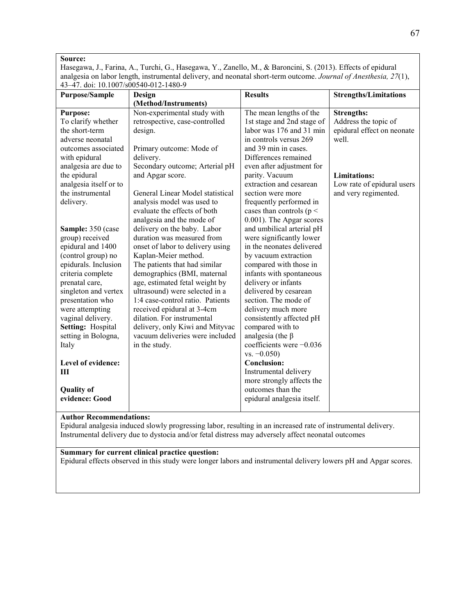Hasegawa, J., Farina, A., Turchi, G., Hasegawa, Y., Zanello, M., & Baroncini, S. (2013). Effects of epidural analgesia on labor length, instrumental delivery, and neonatal short-term outcome. *Journal of Anesthesia, 27*(1), 43–47. doi: 10.1007/s00540-012-1480-9

| <b>Purpose/Sample</b>  | Design                           | <b>Results</b>              | <b>Strengths/Limitations</b> |
|------------------------|----------------------------------|-----------------------------|------------------------------|
|                        | (Method/Instruments)             |                             |                              |
| <b>Purpose:</b>        | Non-experimental study with      | The mean lengths of the     | <b>Strengths:</b>            |
| To clarify whether     | retrospective, case-controlled   | 1st stage and 2nd stage of  | Address the topic of         |
| the short-term         | design.                          | labor was 176 and 31 min    | epidural effect on neonate   |
| adverse neonatal       |                                  | in controls versus 269      | well.                        |
| outcomes associated    | Primary outcome: Mode of         | and 39 min in cases.        |                              |
| with epidural          | delivery.                        | Differences remained        |                              |
| analgesia are due to   | Secondary outcome; Arterial pH   | even after adjustment for   |                              |
| the epidural           | and Apgar score.                 | parity. Vacuum              | <b>Limitations:</b>          |
| analgesia itself or to |                                  | extraction and cesarean     | Low rate of epidural users   |
| the instrumental       | General Linear Model statistical | section were more           | and very regimented.         |
| delivery.              | analysis model was used to       | frequently performed in     |                              |
|                        | evaluate the effects of both     | cases than controls ( $p <$ |                              |
|                        | analgesia and the mode of        | 0.001). The Apgar scores    |                              |
| Sample: 350 (case      | delivery on the baby. Labor      | and umbilical arterial pH   |                              |
| group) received        | duration was measured from       | were significantly lower    |                              |
| epidural and 1400      | onset of labor to delivery using | in the neonates delivered   |                              |
| (control group) no     | Kaplan-Meier method.             | by vacuum extraction        |                              |
| epidurals. Inclusion   | The patients that had similar    | compared with those in      |                              |
| criteria complete      | demographics (BMI, maternal      | infants with spontaneous    |                              |
| prenatal care,         | age, estimated fetal weight by   | delivery or infants         |                              |
| singleton and vertex   | ultrasound) were selected in a   | delivered by cesarean       |                              |
| presentation who       | 1:4 case-control ratio. Patients | section. The mode of        |                              |
| were attempting        | received epidural at 3-4cm       | delivery much more          |                              |
| vaginal delivery.      | dilation. For instrumental       | consistently affected pH    |                              |
| Setting: Hospital      | delivery, only Kiwi and Mityvac  | compared with to            |                              |
| setting in Bologna,    | vacuum deliveries were included  | analgesia (the $\beta$      |                              |
| Italy                  | in the study.                    | coefficients were $-0.036$  |                              |
|                        |                                  | $vs. -0.050)$               |                              |
| Level of evidence:     |                                  | <b>Conclusion:</b>          |                              |
| Ш                      |                                  | Instrumental delivery       |                              |
|                        |                                  | more strongly affects the   |                              |
| <b>Quality of</b>      |                                  | outcomes than the           |                              |
| evidence: Good         |                                  | epidural analgesia itself.  |                              |
|                        |                                  |                             |                              |

#### **Author Recommendations:**

Epidural analgesia induced slowly progressing labor, resulting in an increased rate of instrumental delivery. Instrumental delivery due to dystocia and/or fetal distress may adversely affect neonatal outcomes

#### **Summary for current clinical practice question:**

Epidural effects observed in this study were longer labors and instrumental delivery lowers pH and Apgar scores.